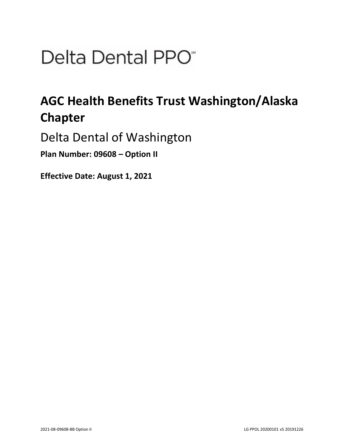# Delta Dental PPO<sup>\*</sup>

## **AGC Health Benefits Trust Washington/Alaska Chapter**

Delta Dental of Washington

**Plan Number: 09608 – Option II** 

**Effective Date: August 1, 2021**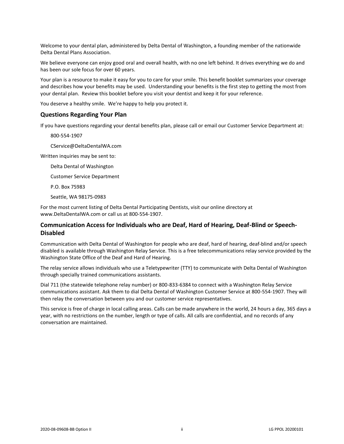Welcome to your dental plan, administered by Delta Dental of Washington, a founding member of the nationwide Delta Dental Plans Association.

We believe everyone can enjoy good oral and overall health, with no one left behind. It drives everything we do and has been our sole focus for over 60 years.

Your plan is a resource to make it easy for you to care for your smile. This benefit booklet summarizes your coverage and describes how your benefits may be used. Understanding your benefits is the first step to getting the most from your dental plan. Review this booklet before you visit your dentist and keep it for your reference.

You deserve a healthy smile. We're happy to help you protect it.

## **Questions Regarding Your Plan**

If you have questions regarding your dental benefits plan, please call or email our Customer Service Department at:

800-554-1907

CService@DeltaDentalWA.com

Written inquiries may be sent to:

Delta Dental of Washington

Customer Service Department

P.O. Box 75983

Seattle, WA 98175-0983

For the most current listing of Delta Dental Participating Dentists, visit our online directory at www.DeltaDentalWA.com or call us at 800-554-1907.

## **Communication Access for Individuals who are Deaf, Hard of Hearing, Deaf-Blind or Speech-Disabled**

Communication with Delta Dental of Washington for people who are deaf, hard of hearing, deaf-blind and/or speech disabled is available through Washington Relay Service. This is a free telecommunications relay service provided by the Washington State Office of the Deaf and Hard of Hearing.

The relay service allows individuals who use a Teletypewriter (TTY) to communicate with Delta Dental of Washington through specially trained communications assistants.

Dial 711 (the statewide telephone relay number) or 800-833-6384 to connect with a Washington Relay Service communications assistant. Ask them to dial Delta Dental of Washington Customer Service at 800-554-1907. They will then relay the conversation between you and our customer service representatives.

This service is free of charge in local calling areas. Calls can be made anywhere in the world, 24 hours a day, 365 days a year, with no restrictions on the number, length or type of calls. All calls are confidential, and no records of any conversation are maintained.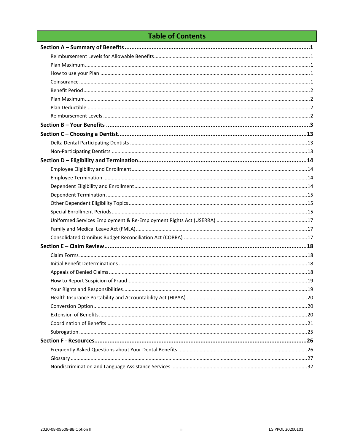## **Table of Contents**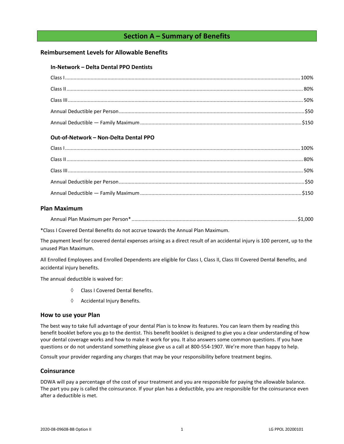## **Section A – Summary of Benefits**

## <span id="page-3-1"></span><span id="page-3-0"></span>**Reimbursement Levels for Allowable Benefits**

## **In-Network – Delta Dental PPO Dentists**

## **Out-of-Network – Non-Delta Dental PPO**

## <span id="page-3-2"></span>**Plan Maximum**

| Annual Plan Maximum per Person* |  |  |  |  |
|---------------------------------|--|--|--|--|
|---------------------------------|--|--|--|--|

\*Class I Covered Dental Benefits do not accrue towards the Annual Plan Maximum.

The payment level for covered dental expenses arising as a direct result of an accidental injury is 100 percent, up to the unused Plan Maximum.

All Enrolled Employees and Enrolled Dependents are eligible for Class I, Class II, Class III Covered Dental Benefits, and accidental injury benefits.

The annual deductible is waived for:

- Class I Covered Dental Benefits.
- $\Diamond$  Accidental Injury Benefits.

## <span id="page-3-3"></span>**How to use your Plan**

The best way to take full advantage of your dental Plan is to know its features. You can learn them by reading this benefit booklet before you go to the dentist. This benefit booklet is designed to give you a clear understanding of how your dental coverage works and how to make it work for you. It also answers some common questions. If you have questions or do not understand something please give us a call at 800-554-1907. We're more than happy to help.

Consult your provider regarding any charges that may be your responsibility before treatment begins.

## <span id="page-3-4"></span>**Coinsurance**

DDWA will pay a percentage of the cost of your treatment and you are responsible for paying the allowable balance. The part you pay is called the coinsurance. If your plan has a deductible, you are responsible for the coinsurance even after a deductible is met.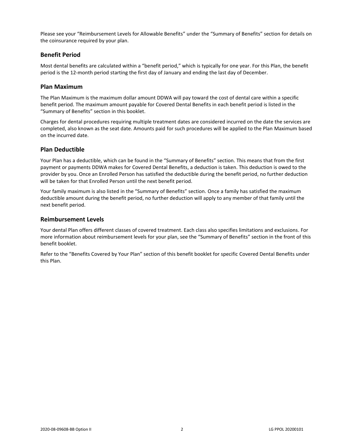Please see your "Reimbursement Levels for Allowable Benefits" under the "Summary of Benefits" section for details on the coinsurance required by your plan.

## <span id="page-4-0"></span>**Benefit Period**

Most dental benefits are calculated within a "benefit period," which is typically for one year. For this Plan, the benefit period is the 12-month period starting the first day of January and ending the last day of December.

## <span id="page-4-1"></span>**Plan Maximum**

The Plan Maximum is the maximum dollar amount DDWA will pay toward the cost of dental care within a specific benefit period. The maximum amount payable for Covered Dental Benefits in each benefit period is listed in the "Summary of Benefits" section in this booklet.

Charges for dental procedures requiring multiple treatment dates are considered incurred on the date the services are completed, also known as the seat date. Amounts paid for such procedures will be applied to the Plan Maximum based on the incurred date.

## <span id="page-4-2"></span>**Plan Deductible**

Your Plan has a deductible, which can be found in the "Summary of Benefits" section. This means that from the first payment or payments DDWA makes for Covered Dental Benefits, a deduction is taken. This deduction is owed to the provider by you. Once an Enrolled Person has satisfied the deductible during the benefit period, no further deduction will be taken for that Enrolled Person until the next benefit period.

Your family maximum is also listed in the "Summary of Benefits" section. Once a family has satisfied the maximum deductible amount during the benefit period, no further deduction will apply to any member of that family until the next benefit period.

## <span id="page-4-3"></span>**Reimbursement Levels**

Your dental Plan offers different classes of covered treatment. Each class also specifies limitations and exclusions. For more information about reimbursement levels for your plan, see the "Summary of Benefits" section in the front of this benefit booklet.

Refer to the "Benefits Covered by Your Plan" section of this benefit booklet for specific Covered Dental Benefits under this Plan.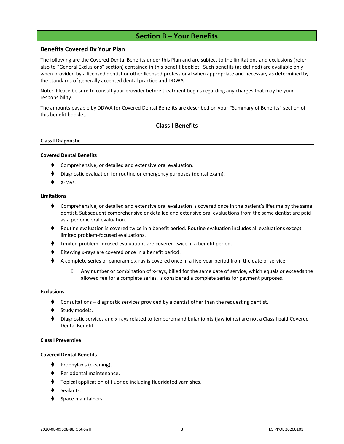## **Section B – Your Benefits**

## <span id="page-5-0"></span>**Benefits Covered By Your Plan**

The following are the Covered Dental Benefits under this Plan and are subject to the limitations and exclusions (refer also to "General Exclusions" section) contained in this benefit booklet. Such benefits (as defined) are available only when provided by a licensed dentist or other licensed professional when appropriate and necessary as determined by the standards of generally accepted dental practice and DDWA.

Note: Please be sure to consult your provider before treatment begins regarding any charges that may be your responsibility.

The amounts payable by DDWA for Covered Dental Benefits are described on your "Summary of Benefits" section of this benefit booklet.

## **Class I Benefits**

#### **Class I Diagnostic**

#### **Covered Dental Benefits**

- Comprehensive, or detailed and extensive oral evaluation.
- Diagnostic evaluation for routine or emergency purposes (dental exam).
- X-rays.

#### **Limitations**

- ♦ Comprehensive, or detailed and extensive oral evaluation is covered once in the patient's lifetime by the same dentist. Subsequent comprehensive or detailed and extensive oral evaluations from the same dentist are paid as a periodic oral evaluation.
- ♦ Routine evaluation is covered twice in a benefit period. Routine evaluation includes all evaluations except limited problem-focused evaluations.
- ⧫ Limited problem-focused evaluations are covered twice in a benefit period.
- Bitewing x-rays are covered once in a benefit period.
- ◆ A complete series or panoramic x-ray is covered once in a five-year period from the date of service.
	- $\Diamond$  Any number or combination of x-rays, billed for the same date of service, which equals or exceeds the allowed fee for a complete series, is considered a complete series for payment purposes.

#### **Exclusions**

- Consultations diagnostic services provided by a dentist other than the requesting dentist.
- Study models.
- Diagnostic services and x-rays related to temporomandibular joints (jaw joints) are not a Class I paid Covered Dental Benefit.

#### **Class I Preventive**

#### **Covered Dental Benefits**

- Prophylaxis (cleaning).
- ⧫ Periodontal maintenance**.**
- ⧫ Topical application of fluoride including fluoridated varnishes.
- Sealants.
- Space maintainers.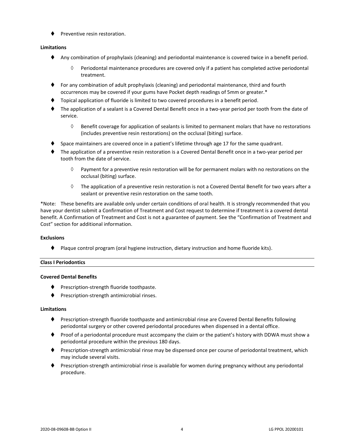⧫ Preventive resin restoration.

## **Limitations**

- ⧫ Any combination of prophylaxis (cleaning) and periodontal maintenance is covered twice in a benefit period.
	- $\Diamond$  Periodontal maintenance procedures are covered only if a patient has completed active periodontal treatment.
- ⧫ For any combination of adult prophylaxis (cleaning) and periodontal maintenance, third and fourth occurrences may be covered if your gums have Pocket depth readings of 5mm or greater.\*
- ⧫ Topical application of fluoride is limited to two covered procedures in a benefit period.
- ⧫ The application of a sealant is a Covered Dental Benefit once in a two-year period per tooth from the date of service.
	- $\Diamond$  Benefit coverage for application of sealants is limited to permanent molars that have no restorations (includes preventive resin restorations) on the occlusal (biting) surface.
- Space maintainers are covered once in a patient's lifetime through age 17 for the same quadrant.
- ⧫ The application of a preventive resin restoration is a Covered Dental Benefit once in a two-year period per tooth from the date of service.
	- $\Diamond$  Payment for a preventive resin restoration will be for permanent molars with no restorations on the occlusal (biting) surface.
	- $\Diamond$  The application of a preventive resin restoration is not a Covered Dental Benefit for two years after a sealant or preventive resin restoration on the same tooth.

\*Note: These benefits are available only under certain conditions of oral health. It is strongly recommended that you have your dentist submit a Confirmation of Treatment and Cost request to determine if treatment is a covered dental benefit. A Confirmation of Treatment and Cost is not a guarantee of payment. See the "Confirmation of Treatment and Cost" section for additional information.

## **Exclusions**

⧫ Plaque control program (oral hygiene instruction, dietary instruction and home fluoride kits).

## **Class I Periodontics**

## **Covered Dental Benefits**

- ◆ Prescription-strength fluoride toothpaste.
- ⧫ Prescription-strength antimicrobial rinses.

## **Limitations**

- ◆ Prescription-strength fluoride toothpaste and antimicrobial rinse are Covered Dental Benefits following periodontal surgery or other covered periodontal procedures when dispensed in a dental office.
- ⧫ Proof of a periodontal procedure must accompany the claim or the patient's history with DDWA must show a periodontal procedure within the previous 180 days.
- ⧫ Prescription-strength antimicrobial rinse may be dispensed once per course of periodontal treatment, which may include several visits.
- Prescription-strength antimicrobial rinse is available for women during pregnancy without any periodontal procedure.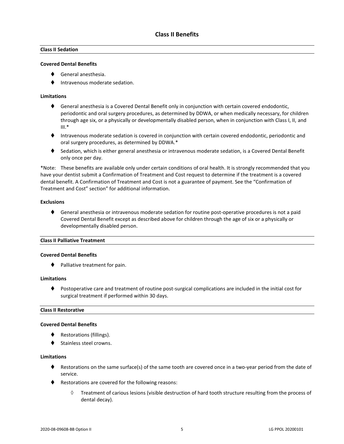## **Class II Sedation**

## **Covered Dental Benefits**

- ⧫ General anesthesia.
- ⧫ Intravenous moderate sedation.

## **Limitations**

- ◆ General anesthesia is a Covered Dental Benefit only in conjunction with certain covered endodontic, periodontic and oral surgery procedures, as determined by DDWA, or when medically necessary, for children through age six, or a physically or developmentally disabled person, when in conjunction with Class I, II, and  $III.*$
- ⧫ Intravenous moderate sedation is covered in conjunction with certain covered endodontic, periodontic and oral surgery procedures, as determined by DDWA.\*
- ◆ Sedation, which is either general anesthesia or intravenous moderate sedation, is a Covered Dental Benefit only once per day.

\*Note: These benefits are available only under certain conditions of oral health. It is strongly recommended that you have your dentist submit a Confirmation of Treatment and Cost request to determine if the treatment is a covered dental benefit. A Confirmation of Treatment and Cost is not a guarantee of payment. See the "Confirmation of Treatment and Cost" section" for additional information.

## **Exclusions**

♦ General anesthesia or intravenous moderate sedation for routine post-operative procedures is not a paid Covered Dental Benefit except as described above for children through the age of six or a physically or developmentally disabled person.

## **Class II Palliative Treatment**

## **Covered Dental Benefits**

⧫ Palliative treatment for pain.

## **Limitations**

⧫ Postoperative care and treatment of routine post-surgical complications are included in the initial cost for surgical treatment if performed within 30 days.

## **Class II Restorative**

#### **Covered Dental Benefits**

- ◆ Restorations (fillings).
- Stainless steel crowns.

## **Limitations**

- ♦ Restorations on the same surface(s) of the same tooth are covered once in a two-year period from the date of service.
- ◆ Restorations are covered for the following reasons:
	- $\Diamond$  Treatment of carious lesions (visible destruction of hard tooth structure resulting from the process of dental decay).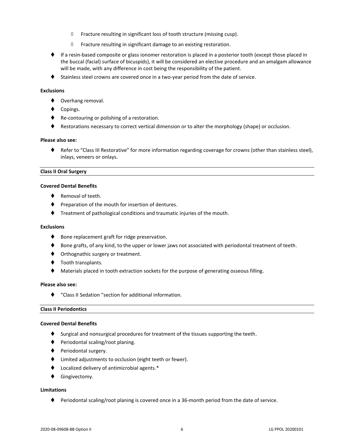- $\Diamond$  Fracture resulting in significant loss of tooth structure (missing cusp).
- $\Diamond$  Fracture resulting in significant damage to an existing restoration.
- ♦ If a resin-based composite or glass ionomer restoration is placed in a posterior tooth (except those placed in the buccal (facial) surface of bicuspids), it will be considered an elective procedure and an amalgam allowance will be made, with any difference in cost being the responsibility of the patient.
- ◆ Stainless steel crowns are covered once in a two-year period from the date of service.

## **Exclusions**

- ◆ Overhang removal.
- Copings.
- ◆ Re-contouring or polishing of a restoration.
- ♦ Restorations necessary to correct vertical dimension or to alter the morphology (shape) or occlusion.

#### **Please also see:**

⧫ Refer to "Class III Restorative" for more information regarding coverage for crowns (other than stainless steel), inlays, veneers or onlays.

#### **Class II Oral Surgery**

## **Covered Dental Benefits**

- Removal of teeth.
- ♦ Preparation of the mouth for insertion of dentures.
- ⧫ Treatment of pathological conditions and traumatic injuries of the mouth.

## **Exclusions**

- ♦ Bone replacement graft for ridge preservation.
- ♦ Bone grafts, of any kind, to the upper or lower jaws not associated with periodontal treatment of teeth.
- ♦ Orthognathic surgery or treatment.
- ◆ Tooth transplants.
- Materials placed in tooth extraction sockets for the purpose of generating osseous filling.

#### **Please also see:**

⧫ "Class II Sedation "section for additional information.

## **Class II Periodontics**

#### **Covered Dental Benefits**

- ♦ Surgical and nonsurgical procedures for treatment of the tissues supporting the teeth.
- ⧫ Periodontal scaling/root planing.
- ◆ Periodontal surgery.
- ⧫ Limited adjustments to occlusion (eight teeth or fewer).
- ⧫ Localized delivery of antimicrobial agents.\*
- ⧫ Gingivectomy.

## **Limitations**

♦ Periodontal scaling/root planing is covered once in a 36-month period from the date of service.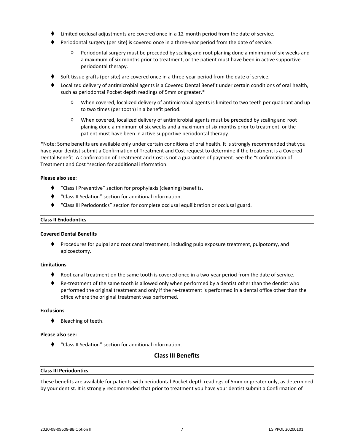- Limited occlusal adjustments are covered once in a 12-month period from the date of service.
- ⧫ Periodontal surgery (per site) is covered once in a three-year period from the date of service.
	- $\Diamond$  Periodontal surgery must be preceded by scaling and root planing done a minimum of six weeks and a maximum of six months prior to treatment, or the patient must have been in active supportive periodontal therapy.
- Soft tissue grafts (per site) are covered once in a three-year period from the date of service.
- ⧫ Localized delivery of antimicrobial agents is a Covered Dental Benefit under certain conditions of oral health, such as periodontal Pocket depth readings of 5mm or greater.\*
	- When covered, localized delivery of antimicrobial agents is limited to two teeth per quadrant and up to two times (per tooth) in a benefit period.
	- $\Diamond$  When covered, localized delivery of antimicrobial agents must be preceded by scaling and root planing done a minimum of six weeks and a maximum of six months prior to treatment, or the patient must have been in active supportive periodontal therapy.

\*Note: Some benefits are available only under certain conditions of oral health. It is strongly recommended that you have your dentist submit a Confirmation of Treatment and Cost request to determine if the treatment is a Covered Dental Benefit. A Confirmation of Treatment and Cost is not a guarantee of payment. See the "Confirmation of Treatment and Cost "section for additional information.

#### **Please also see:**

- ⧫ "Class I Preventive" section for prophylaxis (cleaning) benefits.
- ⧫ "Class II Sedation" section for additional information.
- ⧫ "Class III Periodontics" section for complete occlusal equilibration or occlusal guard.

#### **Class II Endodontics**

## **Covered Dental Benefits**

⧫ Procedures for pulpal and root canal treatment, including pulp exposure treatment, pulpotomy, and apicoectomy.

## **Limitations**

- Root canal treatment on the same tooth is covered once in a two-year period from the date of service.
- ♦ Re-treatment of the same tooth is allowed only when performed by a dentist other than the dentist who performed the original treatment and only if the re-treatment is performed in a dental office other than the office where the original treatment was performed.

## **Exclusions**

⧫ Bleaching of teeth.

#### **Please also see:**

⧫ "Class II Sedation" section for additional information.

## **Class III Benefits**

## **Class III Periodontics**

These benefits are available for patients with periodontal Pocket depth readings of 5mm or greater only, as determined by your dentist. It is strongly recommended that prior to treatment you have your dentist submit a Confirmation of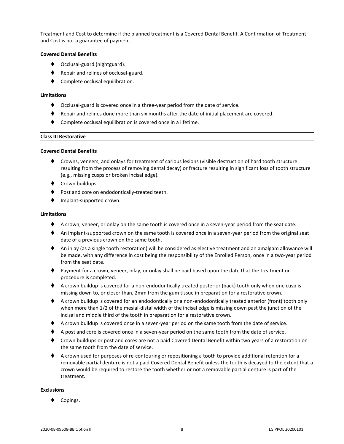Treatment and Cost to determine if the planned treatment is a Covered Dental Benefit. A Confirmation of Treatment and Cost is not a guarantee of payment.

## **Covered Dental Benefits**

- ◆ Occlusal-guard (nightguard).
- ◆ Repair and relines of occlusal-guard.
- Complete occlusal equilibration.

## **Limitations**

- ⧫ Occlusal-guard is covered once in a three-year period from the date of service.
- ⧫ Repair and relines done more than six months after the date of initial placement are covered.
- Complete occlusal equilibration is covered once in a lifetime.

## **Class III Restorative**

## **Covered Dental Benefits**

- ⧫ Crowns, veneers, and onlays for treatment of carious lesions (visible destruction of hard tooth structure resulting from the process of removing dental decay) or fracture resulting in significant loss of tooth structure (e.g., missing cusps or broken incisal edge).
- ◆ Crown buildups.
- Post and core on endodontically-treated teeth.
- ⧫ Implant-supported crown.

## **Limitations**

- ♦ A crown, veneer, or onlay on the same tooth is covered once in a seven-year period from the seat date.
- ♦ An implant-supported crown on the same tooth is covered once in a seven-year period from the original seat date of a previous crown on the same tooth.
- ◆ An inlay (as a single tooth restoration) will be considered as elective treatment and an amalgam allowance will be made, with any difference in cost being the responsibility of the Enrolled Person, once in a two-year period from the seat date.
- ⧫ Payment for a crown, veneer, inlay, or onlay shall be paid based upon the date that the treatment or procedure is completed.
- ♦ A crown buildup is covered for a non-endodontically treated posterior (back) tooth only when one cusp is missing down to, or closer than, 2mm from the gum tissue in preparation for a restorative crown.
- ♦ A crown buildup is covered for an endodontically or a non-endodontically treated anterior (front) tooth only when more than 1/2 of the mesial-distal width of the incisal edge is missing down past the junction of the incisal and middle third of the tooth in preparation for a restorative crown.
- ◆ A crown buildup is covered once in a seven-year period on the same tooth from the date of service.
- ♦ A post and core is covered once in a seven-year period on the same tooth from the date of service.
- ◆ Crown buildups or post and cores are not a paid Covered Dental Benefit within two years of a restoration on the same tooth from the date of service.
- ◆ A crown used for purposes of re-contouring or repositioning a tooth to provide additional retention for a removable partial denture is not a paid Covered Dental Benefit unless the tooth is decayed to the extent that a crown would be required to restore the tooth whether or not a removable partial denture is part of the treatment.

## **Exclusions**

Copings.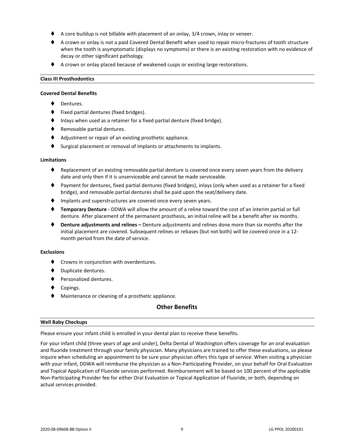- A core buildup is not billable with placement of an onlay, 3/4 crown, inlay or veneer.
- ♦ A crown or onlay is not a paid Covered Dental Benefit when used to repair micro-fractures of tooth structure when the tooth is asymptomatic (displays no symptoms) or there is an existing restoration with no evidence of decay or other significant pathology.
- ◆ A crown or onlay placed because of weakened cusps or existing large restorations.

#### **Class III Prosthodontics**

#### **Covered Dental Benefits**

- Dentures.
- ⧫ Fixed partial dentures (fixed bridges).
- Inlays when used as a retainer for a fixed partial denture (fixed bridge).
- ◆ Removable partial dentures.
- ◆ Adjustment or repair of an existing prosthetic appliance.
- Surgical placement or removal of implants or attachments to implants.

#### **Limitations**

- Replacement of an existing removable partial denture is covered once every seven years from the delivery date and only then if it is unserviceable and cannot be made serviceable.
- ⧫ Payment for dentures, fixed partial dentures (fixed bridges), inlays (only when used as a retainer for a fixed bridge), and removable partial dentures shall be paid upon the seat/delivery date.
- ♦ Implants and superstructures are covered once every seven years.
- ⧫ **Temporary Denture -** DDWA will allow the amount of a reline toward the cost of an interim partial or full denture. After placement of the permanent prosthesis, an initial reline will be a benefit after six months.
- ⧫ **Denture adjustments and relines –** Denture adjustments and relines done more than six months after the initial placement are covered. Subsequent relines or rebases (but not both) will be covered once in a 12 month period from the date of service.

## **Exclusions**

- ⧫ Crowns in conjunction with overdentures.
- ⧫ Duplicate dentures.
- ⧫ Personalized dentures.
- ◆ Copings.
- ◆ Maintenance or cleaning of a prosthetic appliance.

## **Other Benefits**

#### **Well Baby Checkups**

Please ensure your infant child is enrolled in your dental plan to receive these benefits.

For your infant child (three years of age and under), Delta Dental of Washington offers coverage for an oral evaluation and fluoride treatment through your family physician. Many physicians are trained to offer these evaluations, so please inquire when scheduling an appointment to be sure your physician offers this type of service. When visiting a physician with your infant, DDWA will reimburse the physician as a Non-Participating Provider, on your behalf for Oral Evaluation and Topical Application of Fluoride services performed. Reimbursement will be based on 100 percent of the applicable Non-Participating Provider fee for either Oral Evaluation or Topical Application of Fluoride, or both, depending on actual services provided.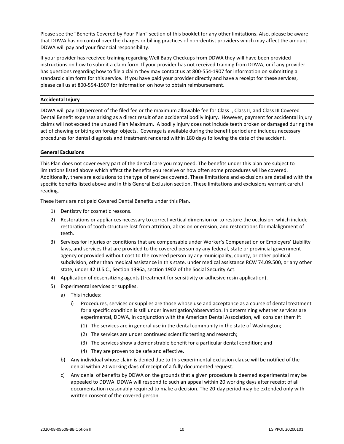Please see the "Benefits Covered by Your Plan" section of this booklet for any other limitations. Also, please be aware that DDWA has no control over the charges or billing practices of non-dentist providers which may affect the amount DDWA will pay and your financial responsibility.

If your provider has received training regarding Well Baby Checkups from DDWA they will have been provided instructions on how to submit a claim form. If your provider has not received training from DDWA, or if any provider has questions regarding how to file a claim they may contact us at 800-554-1907 for information on submitting a standard claim form for this service. If you have paid your provider directly and have a receipt for these services, please call us at 800-554-1907 for information on how to obtain reimbursement.

## **Accidental Injury**

DDWA will pay 100 percent of the filed fee or the maximum allowable fee for Class I, Class II, and Class III Covered Dental Benefit expenses arising as a direct result of an accidental bodily injury. However, payment for accidental injury claims will not exceed the unused Plan Maximum. A bodily injury does not include teeth broken or damaged during the act of chewing or biting on foreign objects. Coverage is available during the benefit period and includes necessary procedures for dental diagnosis and treatment rendered within 180 days following the date of the accident.

## **General Exclusions**

This Plan does not cover every part of the dental care you may need. The benefits under this plan are subject to limitations listed above which affect the benefits you receive or how often some procedures will be covered. Additionally, there are exclusions to the type of services covered. These limitations and exclusions are detailed with the specific benefits listed above and in this General Exclusion section. These limitations and exclusions warrant careful reading.

These items are not paid Covered Dental Benefits under this Plan.

- 1) Dentistry for cosmetic reasons.
- 2) Restorations or appliances necessary to correct vertical dimension or to restore the occlusion, which include restoration of tooth structure lost from attrition, abrasion or erosion, and restorations for malalignment of teeth.
- 3) Services for injuries or conditions that are compensable under Worker's Compensation or Employers' Liability laws, and services that are provided to the covered person by any federal, state or provincial government agency or provided without cost to the covered person by any municipality, county, or other political subdivision, other than medical assistance in this state, under medical assistance RCW 74.09.500, or any other state, under 42 U.S.C., Section 1396a, section 1902 of the Social Security Act.
- 4) Application of desensitizing agents (treatment for sensitivity or adhesive resin application).
- 5) Experimental services or supplies.
	- a) This includes:
		- i) Procedures, services or supplies are those whose use and acceptance as a course of dental treatment for a specific condition is still under investigation/observation. In determining whether services are experimental, DDWA, in conjunction with the American Dental Association, will consider them if:
			- (1) The services are in general use in the dental community in the state of Washington;
			- (2) The services are under continued scientific testing and research;
			- (3) The services show a demonstrable benefit for a particular dental condition; and
			- (4) They are proven to be safe and effective.
	- b) Any individual whose claim is denied due to this experimental exclusion clause will be notified of the denial within 20 working days of receipt of a fully documented request.
	- c) Any denial of benefits by DDWA on the grounds that a given procedure is deemed experimental may be appealed to DDWA. DDWA will respond to such an appeal within 20 working days after receipt of all documentation reasonably required to make a decision. The 20-day period may be extended only with written consent of the covered person.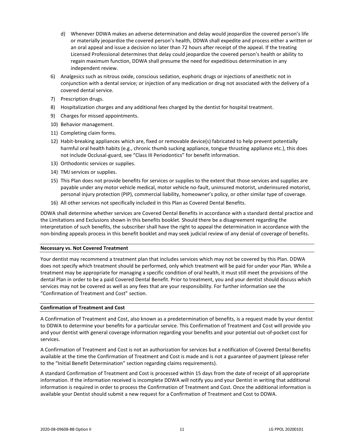- d) Whenever DDWA makes an adverse determination and delay would jeopardize the covered person's life or materially jeopardize the covered person's health, DDWA shall expedite and process either a written or an oral appeal and issue a decision no later than 72 hours after receipt of the appeal. If the treating Licensed Professional determines that delay could jeopardize the covered person's health or ability to regain maximum function, DDWA shall presume the need for expeditious determination in any independent review.
- 6) Analgesics such as nitrous oxide, conscious sedation, euphoric drugs or injections of anesthetic not in conjunction with a dental service; or injection of any medication or drug not associated with the delivery of a covered dental service.
- 7) Prescription drugs.
- 8) Hospitalization charges and any additional fees charged by the dentist for hospital treatment.
- 9) Charges for missed appointments.
- 10) Behavior management.
- 11) Completing claim forms.
- 12) Habit-breaking appliances which are, fixed or removable device(s) fabricated to help prevent potentially harmful oral health habits (e.g., chronic thumb sucking appliance, tongue thrusting appliance etc.), this does not include Occlusal-guard, see "Class III Periodontics" for benefit information.
- 13) Orthodontic services or supplies.
- 14) TMJ services or supplies.
- 15) This Plan does not provide benefits for services or supplies to the extent that those services and supplies are payable under any motor vehicle medical, motor vehicle no-fault, uninsured motorist, underinsured motorist, personal injury protection (PIP), commercial liability, homeowner's policy, or other similar type of coverage.
- 16) All other services not specifically included in this Plan as Covered Dental Benefits.

DDWA shall determine whether services are Covered Dental Benefits in accordance with a standard dental practice and the Limitations and Exclusions shown in this benefits booklet. Should there be a disagreement regarding the interpretation of such benefits, the subscriber shall have the right to appeal the determination in accordance with the non-binding appeals process in this benefit booklet and may seek judicial review of any denial of coverage of benefits.

## **Necessary vs. Not Covered Treatment**

Your dentist may recommend a treatment plan that includes services which may not be covered by this Plan. DDWA does not specify which treatment should be performed, only which treatment will be paid for under your Plan. While a treatment may be appropriate for managing a specific condition of oral health, it must still meet the provisions of the dental Plan in order to be a paid Covered Dental Benefit. Prior to treatment, you and your dentist should discuss which services may not be covered as well as any fees that are your responsibility. For further information see the "Confirmation of Treatment and Cost" section.

## **Confirmation of Treatment and Cost**

A Confirmation of Treatment and Cost, also known as a predetermination of benefits, is a request made by your dentist to DDWA to determine your benefits for a particular service. This Confirmation of Treatment and Cost will provide you and your dentist with general coverage information regarding your benefits and your potential out-of-pocket cost for services.

A Confirmation of Treatment and Cost is not an authorization for services but a notification of Covered Dental Benefits available at the time the Confirmation of Treatment and Cost is made and is not a guarantee of payment (please refer to the "Initial Benefit Determination" section regarding claims requirements).

A standard Confirmation of Treatment and Cost is processed within 15 days from the date of receipt of all appropriate information. If the information received is incomplete DDWA will notify you and your Dentist in writing that additional information is required in order to process the Confirmation of Treatment and Cost. Once the additional information is available your Dentist should submit a new request for a Confirmation of Treatment and Cost to DDWA.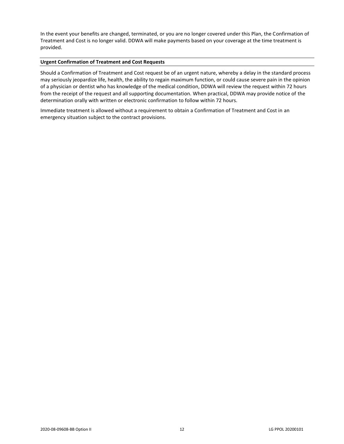In the event your benefits are changed, terminated, or you are no longer covered under this Plan, the Confirmation of Treatment and Cost is no longer valid. DDWA will make payments based on your coverage at the time treatment is provided.

## **Urgent Confirmation of Treatment and Cost Requests**

Should a Confirmation of Treatment and Cost request be of an urgent nature, whereby a delay in the standard process may seriously jeopardize life, health, the ability to regain maximum function, or could cause severe pain in the opinion of a physician or dentist who has knowledge of the medical condition, DDWA will review the request within 72 hours from the receipt of the request and all supporting documentation. When practical, DDWA may provide notice of the determination orally with written or electronic confirmation to follow within 72 hours.

Immediate treatment is allowed without a requirement to obtain a Confirmation of Treatment and Cost in an emergency situation subject to the contract provisions.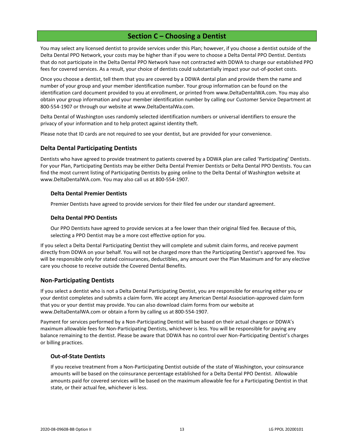## **Section C – Choosing a Dentist**

<span id="page-15-0"></span>You may select any licensed dentist to provide services under this Plan; however, if you choose a dentist outside of the Delta Dental PPO Network, your costs may be higher than if you were to choose a Delta Dental PPO Dentist. Dentists that do not participate in the Delta Dental PPO Network have not contracted with DDWA to charge our established PPO fees for covered services. As a result, your choice of dentists could substantially impact your out-of-pocket costs.

Once you choose a dentist, tell them that you are covered by a DDWA dental plan and provide them the name and number of your group and your member identification number. Your group information can be found on the identification card document provided to you at enrollment, or printed from www.DeltaDentalWA.com. You may also obtain your group information and your member identification number by calling our Customer Service Department at 800-554-1907 or through our website at www.DeltaDentalWa.com.

Delta Dental of Washington uses randomly selected identification numbers or universal identifiers to ensure the privacy of your information and to help protect against identity theft.

Please note that ID cards are not required to see your dentist, but are provided for your convenience.

## <span id="page-15-1"></span>**Delta Dental Participating Dentists**

Dentists who have agreed to provide treatment to patients covered by a DDWA plan are called 'Participating' Dentists. For your Plan, Participating Dentists may be either Delta Dental Premier Dentists or Delta Dental PPO Dentists. You can find the most current listing of Participating Dentists by going online to the Delta Dental of Washington website at www.DeltaDentalWA.com. You may also call us at 800-554-1907.

## **Delta Dental Premier Dentists**

Premier Dentists have agreed to provide services for their filed fee under our standard agreement.

## **Delta Dental PPO Dentists**

Our PPO Dentists have agreed to provide services at a fee lower than their original filed fee. Because of this, selecting a PPO Dentist may be a more cost effective option for you.

If you select a Delta Dental Participating Dentist they will complete and submit claim forms, and receive payment directly from DDWA on your behalf. You will not be charged more than the Participating Dentist's approved fee. You will be responsible only for stated coinsurances, deductibles, any amount over the Plan Maximum and for any elective care you choose to receive outside the Covered Dental Benefits.

## <span id="page-15-2"></span>**Non-Participating Dentists**

If you select a dentist who is not a Delta Dental Participating Dentist, you are responsible for ensuring either you or your dentist completes and submits a claim form. We accept any American Dental Association-approved claim form that you or your dentist may provide. You can also download claim forms from our website at www.DeltaDentalWA.com or obtain a form by calling us at 800-554-1907.

Payment for services performed by a Non-Participating Dentist will be based on their actual charges or DDWA's maximum allowable fees for Non-Participating Dentists, whichever is less. You will be responsible for paying any balance remaining to the dentist. Please be aware that DDWA has no control over Non-Participating Dentist's charges or billing practices.

## **Out-of-State Dentists**

If you receive treatment from a Non-Participating Dentist outside of the state of Washington, your coinsurance amounts will be based on the coinsurance percentage established for a Delta Dental PPO Dentist. Allowable amounts paid for covered services will be based on the maximum allowable fee for a Participating Dentist in that state, or their actual fee, whichever is less.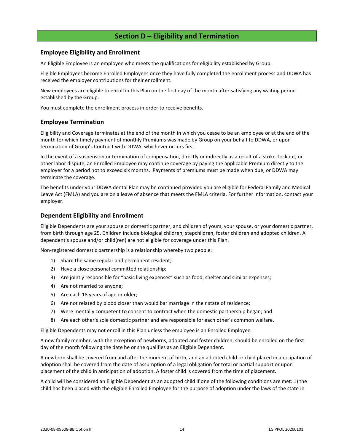## **Section D – Eligibility and Termination**

## <span id="page-16-1"></span><span id="page-16-0"></span>**Employee Eligibility and Enrollment**

An Eligible Employee is an employee who meets the qualifications for eligibility established by Group.

Eligible Employees become Enrolled Employees once they have fully completed the enrollment process and DDWA has received the employer contributions for their enrollment.

New employees are eligible to enroll in this Plan on the first day of the month after satisfying any waiting period established by the Group.

You must complete the enrollment process in order to receive benefits.

## <span id="page-16-2"></span>**Employee Termination**

Eligibility and Coverage terminates at the end of the month in which you cease to be an employee or at the end of the month for which timely payment of monthly Premiums was made by Group on your behalf to DDWA, or upon termination of Group's Contract with DDWA, whichever occurs first.

In the event of a suspension or termination of compensation, directly or indirectly as a result of a strike, lockout, or other labor dispute, an Enrolled Employee may continue coverage by paying the applicable Premium directly to the employer for a period not to exceed six months. Payments of premiums must be made when due, or DDWA may terminate the coverage.

The benefits under your DDWA dental Plan may be continued provided you are eligible for Federal Family and Medical Leave Act (FMLA) and you are on a leave of absence that meets the FMLA criteria. For further information, contact your employer.

## <span id="page-16-3"></span>**Dependent Eligibility and Enrollment**

Eligible Dependents are your spouse or domestic partner, and children of yours, your spouse, or your domestic partner, from birth through age 25. Children include biological children, stepchildren, foster children and adopted children. A dependent's spouse and/or child(ren) are not eligible for coverage under this Plan.

Non-registered domestic partnership is a relationship whereby two people:

- 1) Share the same regular and permanent resident;
- 2) Have a close personal committed relationship;
- 3) Are jointly responsible for "basic living expenses" such as food, shelter and similar expenses;
- 4) Are not married to anyone;
- 5) Are each 18 years of age or older;
- 6) Are not related by blood closer than would bar marriage in their state of residence;
- 7) Were mentally competent to consent to contract when the domestic partnership began; and
- 8) Are each other's sole domestic partner and are responsible for each other's common welfare.

Eligible Dependents may not enroll in this Plan unless the employee is an Enrolled Employee.

A new family member, with the exception of newborns, adopted and foster children, should be enrolled on the first day of the month following the date he or she qualifies as an Eligible Dependent.

A newborn shall be covered from and after the moment of birth, and an adopted child or child placed in anticipation of adoption shall be covered from the date of assumption of a legal obligation for total or partial support or upon placement of the child in anticipation of adoption. A foster child is covered from the time of placement.

A child will be considered an Eligible Dependent as an adopted child if one of the following conditions are met: 1) the child has been placed with the eligible Enrolled Employee for the purpose of adoption under the laws of the state in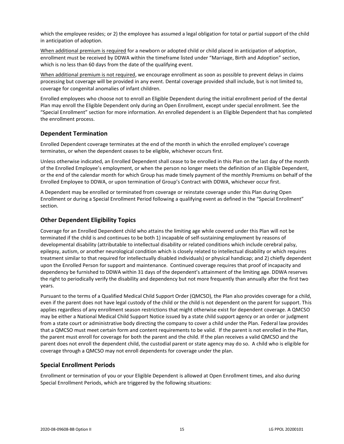which the employee resides; or 2) the employee has assumed a legal obligation for total or partial support of the child in anticipation of adoption.

When additional premium is required for a newborn or adopted child or child placed in anticipation of adoption, enrollment must be received by DDWA within the timeframe listed under "Marriage, Birth and Adoption" section, which is no less than 60 days from the date of the qualifying event.

When additional premium is not required, we encourage enrollment as soon as possible to prevent delays in claims processing but coverage will be provided in any event. Dental coverage provided shall include, but is not limited to, coverage for congenital anomalies of infant children.

Enrolled employees who choose not to enroll an Eligible Dependent during the initial enrollment period of the dental Plan may enroll the Eligible Dependent only during an Open Enrollment, except under special enrollment. See the "Special Enrollment" section for more information. An enrolled dependent is an Eligible Dependent that has completed the enrollment process.

## <span id="page-17-0"></span>**Dependent Termination**

Enrolled Dependent coverage terminates at the end of the month in which the enrolled employee's coverage terminates, or when the dependent ceases to be eligible, whichever occurs first.

Unless otherwise indicated, an Enrolled Dependent shall cease to be enrolled in this Plan on the last day of the month of the Enrolled Employee's employment, or when the person no longer meets the definition of an Eligible Dependent, or the end of the calendar month for which Group has made timely payment of the monthly Premiums on behalf of the Enrolled Employee to DDWA, or upon termination of Group's Contract with DDWA, whichever occur first.

A Dependent may be enrolled or terminated from coverage or reinstate coverage under this Plan during Open Enrollment or during a Special Enrollment Period following a qualifying event as defined in the "Special Enrollment" section.

## <span id="page-17-1"></span>**Other Dependent Eligibility Topics**

Coverage for an Enrolled Dependent child who attains the limiting age while covered under this Plan will not be terminated if the child is and continues to be both 1) incapable of self-sustaining employment by reasons of developmental disability (attributable to intellectual disability or related conditions which include cerebral palsy, epilepsy, autism, or another neurological condition which is closely related to intellectual disability or which requires treatment similar to that required for intellectually disabled individuals) or physical handicap; and 2) chiefly dependent upon the Enrolled Person for support and maintenance. Continued coverage requires that proof of incapacity and dependency be furnished to DDWA within 31 days of the dependent's attainment of the limiting age. DDWA reserves the right to periodically verify the disability and dependency but not more frequently than annually after the first two years.

Pursuant to the terms of a Qualified Medical Child Support Order (QMCSO), the Plan also provides coverage for a child, even if the parent does not have legal custody of the child or the child is not dependent on the parent for support. This applies regardless of any enrollment season restrictions that might otherwise exist for dependent coverage. A QMCSO may be either a National Medical Child Support Notice issued by a state child support agency or an order or judgment from a state court or administrative body directing the company to cover a child under the Plan. Federal law provides that a QMCSO must meet certain form and content requirements to be valid. If the parent is not enrolled in the Plan, the parent must enroll for coverage for both the parent and the child. If the plan receives a valid QMCSO and the parent does not enroll the dependent child, the custodial parent or state agency may do so. A child who is eligible for coverage through a QMCSO may not enroll dependents for coverage under the plan.

## <span id="page-17-2"></span>**Special Enrollment Periods**

Enrollment or termination of you or your Eligible Dependent is allowed at Open Enrollment times, and also during Special Enrollment Periods, which are triggered by the following situations: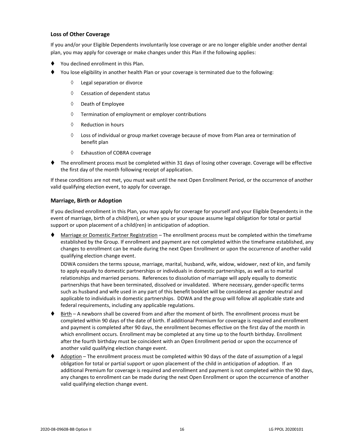## **Loss of Other Coverage**

If you and/or your Eligible Dependents involuntarily lose coverage or are no longer eligible under another dental plan, you may apply for coverage or make changes under this Plan if the following applies:

- You declined enrollment in this Plan.
- You lose eligibility in another health Plan or your coverage is terminated due to the following:
	- Legal separation or divorce
	- $\Diamond$  Cessation of dependent status
	- $\Diamond$  Death of Employee
	- $\Diamond$  Termination of employment or employer contributions
	- $\Diamond$  Reduction in hours
	- $\Diamond$  Loss of individual or group market coverage because of move from Plan area or termination of benefit plan
	- Exhaustion of COBRA coverage
- ⧫ The enrollment process must be completed within 31 days of losing other coverage. Coverage will be effective the first day of the month following receipt of application.

If these conditions are not met, you must wait until the next Open Enrollment Period, or the occurrence of another valid qualifying election event, to apply for coverage.

## **Marriage, Birth or Adoption**

If you declined enrollment in this Plan, you may apply for coverage for yourself and your Eligible Dependents in the event of marriage, birth of a child(ren), or when you or your spouse assume legal obligation for total or partial support or upon placement of a child(ren) in anticipation of adoption.

Marriage or Domestic Partner Registration – The enrollment process must be completed within the timeframe established by the Group. If enrollment and payment are not completed within the timeframe established, any changes to enrollment can be made during the next Open Enrollment or upon the occurrence of another valid qualifying election change event.

DDWA considers the terms spouse, marriage, marital, husband, wife, widow, widower, next of kin, and family to apply equally to domestic partnerships or individuals in domestic partnerships, as well as to marital relationships and married persons. References to dissolution of marriage will apply equally to domestic partnerships that have been terminated, dissolved or invalidated. Where necessary, gender-specific terms such as husband and wife used in any part of this benefit booklet will be considered as gender neutral and applicable to individuals in domestic partnerships. DDWA and the group will follow all applicable state and federal requirements, including any applicable regulations.

- ♦ Birth A newborn shall be covered from and after the moment of birth. The enrollment process must be completed within 90 days of the date of birth. If additional Premium for coverage is required and enrollment and payment is completed after 90 days, the enrollment becomes effective on the first day of the month in which enrollment occurs. Enrollment may be completed at any time up to the fourth birthday. Enrollment after the fourth birthday must be coincident with an Open Enrollment period or upon the occurrence of another valid qualifying election change event.
- Adoption The enrollment process must be completed within 90 days of the date of assumption of a legal obligation for total or partial support or upon placement of the child in anticipation of adoption. If an additional Premium for coverage is required and enrollment and payment is not completed within the 90 days, any changes to enrollment can be made during the next Open Enrollment or upon the occurrence of another valid qualifying election change event.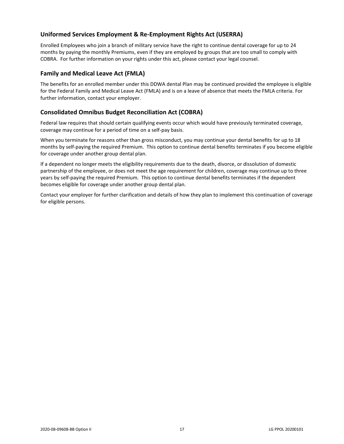## <span id="page-19-0"></span>**Uniformed Services Employment & Re-Employment Rights Act (USERRA)**

Enrolled Employees who join a branch of military service have the right to continue dental coverage for up to 24 months by paying the monthly Premiums, even if they are employed by groups that are too small to comply with COBRA. For further information on your rights under this act, please contact your legal counsel.

## <span id="page-19-1"></span>**Family and Medical Leave Act (FMLA)**

The benefits for an enrolled member under this DDWA dental Plan may be continued provided the employee is eligible for the Federal Family and Medical Leave Act (FMLA) and is on a leave of absence that meets the FMLA criteria. For further information, contact your employer.

## <span id="page-19-2"></span>**Consolidated Omnibus Budget Reconciliation Act (COBRA)**

Federal law requires that should certain qualifying events occur which would have previously terminated coverage, coverage may continue for a period of time on a self-pay basis.

When you terminate for reasons other than gross misconduct, you may continue your dental benefits for up to 18 months by self-paying the required Premium. This option to continue dental benefits terminates if you become eligible for coverage under another group dental plan.

If a dependent no longer meets the eligibility requirements due to the death, divorce, or dissolution of domestic partnership of the employee, or does not meet the age requirement for children, coverage may continue up to three years by self-paying the required Premium. This option to continue dental benefits terminates if the dependent becomes eligible for coverage under another group dental plan.

Contact your employer for further clarification and details of how they plan to implement this continuation of coverage for eligible persons.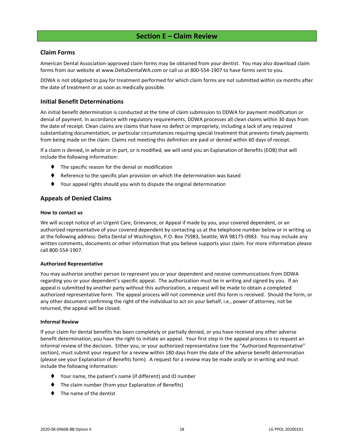## **Section E – Claim Review**

## <span id="page-20-1"></span><span id="page-20-0"></span>**Claim Forms**

American Dental Association-approved claim forms may be obtained from your dentist. You may also download claim forms from our website at www.DeltaDentalWA.com or call us at 800-554-1907 to have forms sent to you.

DDWA is not obligated to pay for treatment performed for which claim forms are not submitted within six months after the date of treatment or as soon as medically possible.

## <span id="page-20-2"></span>**Initial Benefit Determinations**

An initial benefit determination is conducted at the time of claim submission to DDWA for payment modification or denial of payment. In accordance with regulatory requirements, DDWA processes all clean claims within 30 days from the date of receipt. Clean claims are claims that have no defect or impropriety, including a lack of any required substantiating documentation, or particular circumstances requiring special treatment that prevents timely payments from being made on the claim. Claims not meeting this definition are paid or denied within 60 days of receipt.

If a claim is denied, in whole or in part, or is modified, we will send you an Explanation of Benefits (EOB) that will include the following information:

- ⧫ The specific reason for the denial or modification
- ♦ Reference to the specific plan provision on which the determination was based
- ⧫ Your appeal rights should you wish to dispute the original determination

## <span id="page-20-3"></span>**Appeals of Denied Claims**

## **How to contact us**

We will accept notice of an Urgent Care, Grievance, or Appeal if made by you, your covered dependent, or an authorized representative of your covered dependent by contacting us at the telephone number below or in writing us at the following address: Delta Dental of Washington, P.O. Box 75983, Seattle, WA 98175-0983. You may include any written comments, documents or other information that you believe supports your claim. For more information please call 800-554-1907.

## **Authorized Representative**

You may authorize another person to represent you or your dependent and receive communications from DDWA regarding you or your dependent's specific appeal. The authorization must be in writing and signed by you. If an appeal is submitted by another party without this authorization, a request will be made to obtain a completed authorized representative form. The appeal process will not commence until this form is received. Should the form, or any other document confirming the right of the individual to act on your behalf, i.e., power of attorney, not be returned, the appeal will be closed.

## **Informal Review**

If your claim for dental benefits has been completely or partially denied, or you have received any other adverse benefit determination, you have the right to initiate an appeal. Your first step in the appeal process is to request an informal review of the decision. Either you, or your authorized representative (see the "Authorized Representative" section), must submit your request for a review within 180 days from the date of the adverse benefit determination (please see your Explanation of Benefits form). A request for a review may be made orally or in writing and must include the following information:

- ⧫ Your name, the patient's name (if different) and ID number
- The claim number (from your Explanation of Benefits)
- ⧫ The name of the dentist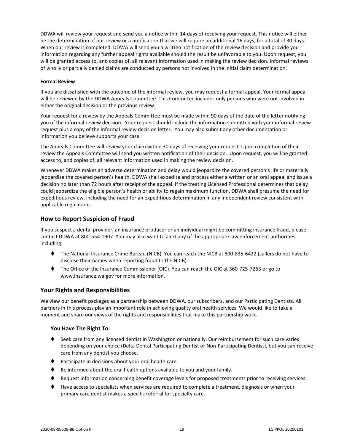DDWA will review your request and send you a notice within 14 days of receiving your request. This notice will either be the determination of our review or a notification that we will require an additional 16 days, for a total of 30 days. When our review is completed, DDWA will send you a written notification of the review decision and provide you information regarding any further appeal rights available should the result be unfavorable to you. Upon request, you will be granted access to, and copies of, all relevant information used in making the review decision. Informal reviews of wholly or partially denied claims are conducted by persons not involved in the initial claim determination.

## **Formal Review**

If you are dissatisfied with the outcome of the informal review, you may request a formal appeal. Your formal appeal will be reviewed by the DDWA Appeals Committee. This Committee includes only persons who were not involved in either the original decision or the previous review.

Your request for a review by the Appeals Committee must be made within 90 days of the date of the letter notifying you of the informal review decision. Your request should include the information submitted with your informal review request plus a copy of the informal review decision letter. You may also submit any other documentation or information you believe supports your case.

The Appeals Committee will review your claim within 30 days of receiving your request. Upon completion of their review the Appeals Committee will send you written notification of their decision. Upon request, you will be granted access to, and copies of, all relevant information used in making the review decision.

Whenever DDWA makes an adverse determination and delay would jeopardize the covered person's life or materially jeopardize the covered person's health, DDWA shall expedite and process either a written or an oral appeal and issue a decision no later than 72 hours after receipt of the appeal. If the treating Licensed Professional determines that delay could jeopardize the eligible person's health or ability to regain maximum function, DDWA shall presume the need for expeditious review, including the need for an expeditious determination in any independent review consistent with applicable regulations.

## <span id="page-21-0"></span>**How to Report Suspicion of Fraud**

If you suspect a dental provider, an insurance producer or an individual might be committing insurance fraud, please contact DDWA at 800-554-1907. You may also want to alert any of the appropriate law enforcement authorities including:

- ⧫ The National Insurance Crime Bureau (NICB). You can reach the NICB at 800-835-6422 (callers do not have to disclose their names when reporting fraud to the NICB).
- ⧫ The Office of the Insurance Commissioner (OIC). You can reach the OIC at 360-725-7263 or go to www.insurance.wa.gov for more information.

## <span id="page-21-1"></span>**Your Rights and Responsibilities**

We view our benefit packages as a partnership between DDWA, our subscribers, and our Participating Dentists. All partners in this process play an important role in achieving quality oral health services. We would like to take a moment and share our views of the rights and responsibilities that make this partnership work.

## **You Have The Right To:**

- ♦ Seek care from any licensed dentist in Washington or nationally. Our reimbursement for such care varies depending on your choice (Delta Dental Participating Dentist or Non-Participating Dentist), but you can receive care from any dentist you choose.
- ⧫ Participate in decisions about your oral health care.
- Be informed about the oral health options available to you and your family.
- ♦ Request information concerning benefit coverage levels for proposed treatments prior to receiving services.
- ⧫ Have access to specialists when services are required to complete a treatment, diagnosis or when your primary care dentist makes a specific referral for specialty care.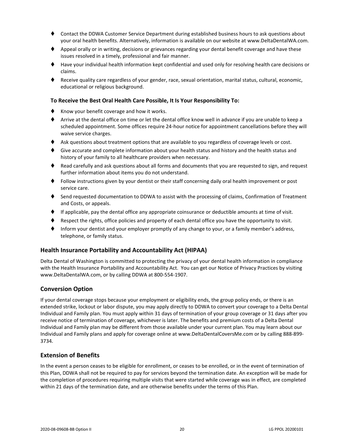- ⧫ Contact the DDWA Customer Service Department during established business hours to ask questions about your oral health benefits. Alternatively, information is available on our website at www.DeltaDentalWA.com.
- ♦ Appeal orally or in writing, decisions or grievances regarding your dental benefit coverage and have these issues resolved in a timely, professional and fair manner.
- ⧫ Have your individual health information kept confidential and used only for resolving health care decisions or claims.
- ⧫ Receive quality care regardless of your gender, race, sexual orientation, marital status, cultural, economic, educational or religious background.

## **To Receive the Best Oral Health Care Possible, It Is Your Responsibility To:**

- ♦ Know your benefit coverage and how it works.
- ⧫ Arrive at the dental office on time or let the dental office know well in advance if you are unable to keep a scheduled appointment. Some offices require 24-hour notice for appointment cancellations before they will waive service charges.
- ♦ Ask questions about treatment options that are available to you regardless of coverage levels or cost.
- ♦ Give accurate and complete information about your health status and history and the health status and history of your family to all healthcare providers when necessary.
- ♦ Read carefully and ask questions about all forms and documents that you are requested to sign, and request further information about items you do not understand.
- ⧫ Follow instructions given by your dentist or their staff concerning daily oral health improvement or post service care.
- ♦ Send requested documentation to DDWA to assist with the processing of claims, Confirmation of Treatment and Costs, or appeals.
- ⧫ If applicable, pay the dental office any appropriate coinsurance or deductible amounts at time of visit.
- Respect the rights, office policies and property of each dental office you have the opportunity to visit.
- Inform your dentist and your employer promptly of any change to your, or a family member's address, telephone, or family status.

## <span id="page-22-0"></span>**Health Insurance Portability and Accountability Act (HIPAA)**

Delta Dental of Washington is committed to protecting the privacy of your dental health information in compliance with the Health Insurance Portability and Accountability Act. You can get our Notice of Privacy Practices by visiting www.DeltaDentalWA.com, or by calling DDWA at 800-554-1907.

## <span id="page-22-1"></span>**Conversion Option**

If your dental coverage stops because your employment or eligibility ends, the group policy ends, or there is an extended strike, lockout or labor dispute, you may apply directly to DDWA to convert your coverage to a Delta Dental Individual and Family plan. You must apply within 31 days of termination of your group coverage or 31 days after you receive notice of termination of coverage, whichever is later. The benefits and premium costs of a Delta Dental Individual and Family plan may be different from those available under your current plan. You may learn about our Individual and Family plans and apply for coverage online at www.DeltaDentalCoversMe.com or by calling 888-899- 3734.

## <span id="page-22-2"></span>**Extension of Benefits**

In the event a person ceases to be eligible for enrollment, or ceases to be enrolled, or in the event of termination of this Plan, DDWA shall not be required to pay for services beyond the termination date. An exception will be made for the completion of procedures requiring multiple visits that were started while coverage was in effect, are completed within 21 days of the termination date, and are otherwise benefits under the terms of this Plan.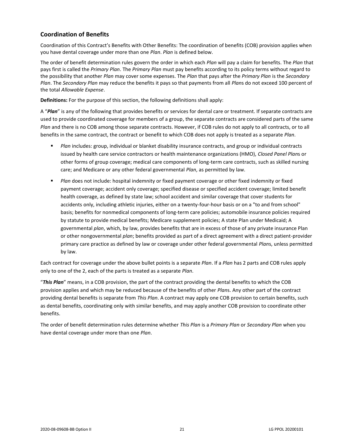## <span id="page-23-0"></span>**Coordination of Benefits**

Coordination of this Contract's Benefits with Other Benefits: The coordination of benefits (COB) provision applies when you have dental coverage under more than one *Plan*. *Plan* is defined below.

The order of benefit determination rules govern the order in which each *Plan* will pay a claim for benefits. The *Plan* that pays first is called the *Primary Plan*. The *Primary Plan* must pay benefits according to its policy terms without regard to the possibility that another *Plan* may cover some expenses. The *Plan* that pays after the *Primary Plan* is the *Secondary Plan*. The *Secondary Plan* may reduce the benefits it pays so that payments from all *Plan*s do not exceed 100 percent of the total *Allowable Expense*.

**Definitions:** For the purpose of this section, the following definitions shall apply:

A "*Plan*" is any of the following that provides benefits or services for dental care or treatment. If separate contracts are used to provide coordinated coverage for members of a group, the separate contracts are considered parts of the same *Plan* and there is no COB among those separate contracts. However, if COB rules do not apply to all contracts, or to all benefits in the same contract, the contract or benefit to which COB does not apply is treated as a separate *Plan*.

- *Plan* includes: group, individual or blanket disability insurance contracts, and group or individual contracts issued by health care service contractors or health maintenance organizations (HMO), *Closed Panel Plan*s or other forms of group coverage; medical care components of long-term care contracts, such as skilled nursing care; and Medicare or any other federal governmental *Plan*, as permitted by law.
- **■** *Plan* does not include: hospital indemnity or fixed payment coverage or other fixed indemnity or fixed payment coverage; accident only coverage; specified disease or specified accident coverage; limited benefit health coverage, as defined by state law; school accident and similar coverage that cover students for accidents only, including athletic injuries, either on a twenty-four-hour basis or on a "to and from school" basis; benefits for nonmedical components of long-term care policies; automobile insurance policies required by statute to provide medical benefits; Medicare supplement policies; A state Plan under Medicaid; A governmental *plan*, which, by law, provides benefits that are in excess of those of any private insurance Plan or other nongovernmental *plan*; benefits provided as part of a direct agreement with a direct patient-provider primary care practice as defined by law or coverage under other federal governmental *Plan*s, unless permitted by law.

Each contract for coverage under the above bullet points is a separate *Plan*. If a *Plan* has 2 parts and COB rules apply only to one of the 2, each of the parts is treated as a separate *Plan*.

"*This Plan*" means, in a COB provision, the part of the contract providing the dental benefits to which the COB provision applies and which may be reduced because of the benefits of other *Plan*s. Any other part of the contract providing dental benefits is separate from *This Plan*. A contract may apply one COB provision to certain benefits, such as dental benefits, coordinating only with similar benefits, and may apply another COB provision to coordinate other benefits.

The order of benefit determination rules determine whether *This Plan* is a *Primary Plan* or *Secondary Plan* when you have dental coverage under more than one *Plan*.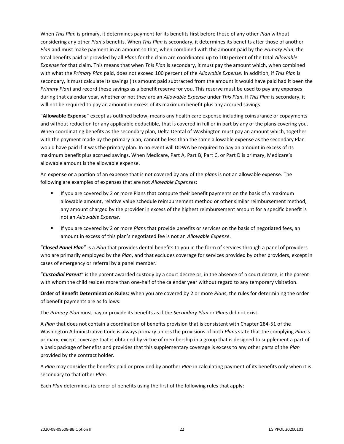When *This Plan* is primary, it determines payment for its benefits first before those of any other *Plan* without considering any other *Plan*'s benefits. When *This Plan* is secondary, it determines its benefits after those of another *Plan* and must make payment in an amount so that, when combined with the amount paid by the *Primary Plan*, the total benefits paid or provided by all *Plan*s for the claim are coordinated up to 100 percent of the total *Allowable Expense* for that claim. This means that when *This Plan* is secondary, it must pay the amount which, when combined with what the *Primary Plan* paid, does not exceed 100 percent of the *Allowable Expense*. In addition, if *This Plan* is secondary, it must calculate its savings (its amount paid subtracted from the amount it would have paid had it been the *Primary Plan*) and record these savings as a benefit reserve for you. This reserve must be used to pay any expenses during that calendar year, whether or not they are an *Allowable Expense* under *This Plan*. If *This Plan* is secondary, it will not be required to pay an amount in excess of its maximum benefit plus any accrued savings.

"**Allowable Expense**" except as outlined below, means any health care expense including coinsurance or copayments and without reduction for any applicable deductible, that is covered in full or in part by any of the plans covering you. When coordinating benefits as the secondary plan, Delta Dental of Washington must pay an amount which, together with the payment made by the primary plan, cannot be less than the same allowable expense as the secondary Plan would have paid if it was the primary plan. In no event will DDWA be required to pay an amount in excess of its maximum benefit plus accrued savings. When Medicare, Part A, Part B, Part C, or Part D is primary, Medicare's allowable amount is the allowable expense.

An expense or a portion of an expense that is not covered by any of the *plan*s is not an allowable expense. The following are examples of expenses that are not *Allowable Expense*s:

- **■** If you are covered by 2 or more Plans that compute their benefit payments on the basis of a maximum allowable amount, relative value schedule reimbursement method or other similar reimbursement method, any amount charged by the provider in excess of the highest reimbursement amount for a specific benefit is not an *Allowable Expense*.
- If you are covered by 2 or more *Plan*s that provide benefits or services on the basis of negotiated fees, an amount in excess of this plan's negotiated fee is not an *Allowable Expense*.

"*Closed Panel Plan*" is a *Plan* that provides dental benefits to you in the form of services through a panel of providers who are primarily employed by the *Plan*, and that excludes coverage for services provided by other providers, except in cases of emergency or referral by a panel member.

"*Custodial Parent*" is the parent awarded custody by a court decree or, in the absence of a court decree, is the parent with whom the child resides more than one-half of the calendar year without regard to any temporary visitation.

**Order of Benefit Determination Rules:** When you are covered by 2 or more *Plan*s, the rules for determining the order of benefit payments are as follows:

The *Primary Plan* must pay or provide its benefits as if the *Secondary Plan* or *Plans* did not exist.

A *Plan* that does not contain a coordination of benefits provision that is consistent with Chapter 284-51 of the Washington Administrative Code is always primary unless the provisions of both *Plan*s state that the complying *Plan* is primary, except coverage that is obtained by virtue of membership in a group that is designed to supplement a part of a basic package of benefits and provides that this supplementary coverage is excess to any other parts of the *Plan* provided by the contract holder.

A *Plan* may consider the benefits paid or provided by another *Plan* in calculating payment of its benefits only when it is secondary to that other *Plan*.

Each *Plan* determines its order of benefits using the first of the following rules that apply: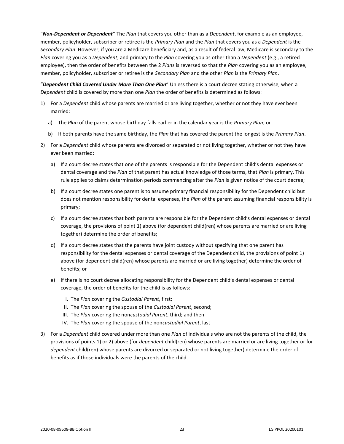"*Non-Dependent or Dependent*" The *Plan* that covers you other than as a *Dependent*, for example as an employee, member, policyholder, subscriber or retiree is the *Primary Plan* and the *Plan* that covers you as a *Dependent* is the *Secondary Plan*. However, if you are a Medicare beneficiary and, as a result of federal law, Medicare is secondary to the *Plan* covering you as a *Dependent*, and primary to the *Plan* covering you as other than a *Dependent* (e.g., a retired employee), then the order of benefits between the 2 *Plan*s is reversed so that the *Plan* covering you as an employee, member, policyholder, subscriber or retiree is the *Secondary Plan* and the other *Plan* is the *Primary Plan*.

"*Dependent Child Covered Under More Than One Plan*" Unless there is a court decree stating otherwise, when a *Dependent* child is covered by more than one *Plan* the order of benefits is determined as follows:

- 1) For a *Dependent* child whose parents are married or are living together, whether or not they have ever been married:
	- a) The *Plan* of the parent whose birthday falls earlier in the calendar year is the *Primary Plan*; or
	- b) If both parents have the same birthday, the *Plan* that has covered the parent the longest is the *Primary Plan*.
- 2) For a *Dependent* child whose parents are divorced or separated or not living together, whether or not they have ever been married:
	- a) If a court decree states that one of the parents is responsible for the Dependent child's dental expenses or dental coverage and the *Plan* of that parent has actual knowledge of those terms, that *Plan* is primary. This rule applies to claims determination periods commencing after the *Plan* is given notice of the court decree;
	- b) If a court decree states one parent is to assume primary financial responsibility for the Dependent child but does not mention responsibility for dental expenses, the *Plan* of the parent assuming financial responsibility is primary;
	- c) If a court decree states that both parents are responsible for the Dependent child's dental expenses or dental coverage, the provisions of point 1) above (for dependent child(ren) whose parents are married or are living together) determine the order of benefits;
	- d) If a court decree states that the parents have joint custody without specifying that one parent has responsibility for the dental expenses or dental coverage of the Dependent child, the provisions of point 1) above (for dependent child(ren) whose parents are married or are living together) determine the order of benefits; or
	- e) If there is no court decree allocating responsibility for the Dependent child's dental expenses or dental coverage, the order of benefits for the child is as follows:
		- I. The *Plan* covering the *Custodial Parent*, first;
		- II. The *Plan* covering the spouse of the *Custodial Parent*, second;
		- III. The *Plan* covering the non*custodial Parent*, third; and then
		- IV. The *Plan* covering the spouse of the non*custodial Parent*, last
- 3) For a *Dependent* child covered under more than one *Plan* of individuals who are not the parents of the child, the provisions of points 1) or 2) above (for *dependent* child(ren) whose parents are married or are living together or for *dependent* child(ren) whose parents are divorced or separated or not living together) determine the order of benefits as if those individuals were the parents of the child.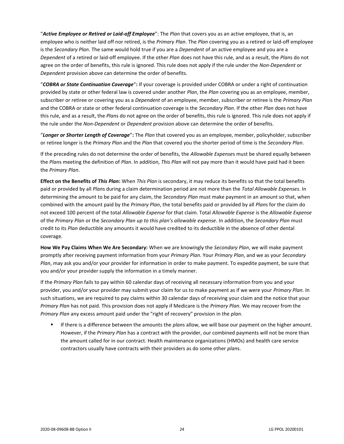"*Active Employee or Retired or Laid-off Employee*": The *Plan* that covers you as an active employee, that is, an employee who is neither laid off nor retired, is the *Primary Plan*. The *Plan* covering you as a retired or laid-off employee is the *Secondary Plan*. The same would hold true if you are a *Dependent* of an active employee and you are a *Dependent* of a retired or laid-off employee. If the other *Plan* does not have this rule, and as a result, the *Plan*s do not agree on the order of benefits, this rule is ignored. This rule does not apply if the rule under the *Non-Dependent* or *Dependent* provision above can determine the order of benefits.

"*COBRA or State Continuation Coverage*"**:** If your coverage is provided under COBRA or under a right of continuation provided by state or other federal law is covered under another *Plan*, the *Plan* covering you as an employee, member, subscriber or retiree or covering you as a *Dependent* of an employee, member, subscriber or retiree is the *Primary Plan* and the COBRA or state or other federal continuation coverage is the *Secondary Plan*. If the other *Plan* does not have this rule, and as a result, the *Plan*s do not agree on the order of benefits, this rule is ignored. This rule does not apply if the rule under the *Non-Dependent* or *Dependent* provision above can determine the order of benefits.

"*Longer or Shorter Length of Coverage*"**:** The *Plan* that covered you as an employee, member, policyholder, subscriber or retiree longer is the *Primary Plan* and the *Plan* that covered you the shorter period of time is the *Secondary Plan*.

If the preceding rules do not determine the order of benefits, the *Allowable Expense*s must be shared equally between the *Plan*s meeting the definition of *Plan*. In addition, *This Plan* will not pay more than it would have paid had it been the *Primary Plan*.

**Effect on the Benefits of** *This Plan***:** When *This Plan* is secondary, it may reduce its benefits so that the total benefits paid or provided by all *Plan*s during a claim determination period are not more than the *Total Allowable Expenses*. In determining the amount to be paid for any claim, the *Secondary Plan* must make payment in an amount so that, when combined with the amount paid by the *Primary Plan*, the total benefits paid or provided by all *Plan*s for the claim do not exceed 100 percent of the total *Allowable Expense* for that claim. Total *Allowable Expense* is the *Allowable Expense* of the *Primary Plan* or the *Secondary Plan up to this plan's allowable expense*. In addition, the *Secondary Plan* must credit to its *Plan* deductible any amounts it would have credited to its deductible in the absence of other dental coverage.

**How We Pay Claims When We Are Secondary:** When we are knowingly the *Secondary Plan*, we will make payment promptly after receiving payment information from your *Primary Plan*. Your *Primary Plan*, and we as your *Secondary Plan*, may ask you and/or your provider for information in order to make payment. To expedite payment, be sure that you and/or your provider supply the information in a timely manner.

If the *Primary Plan* fails to pay within 60 calendar days of receiving all necessary information from you and your provider, you and/or your provider may submit your claim for us to make payment as if we were your *Primary Plan*. In such situations, we are required to pay claims within 30 calendar days of receiving your claim and the notice that your *Primary Plan* has not paid. This provision does not apply if Medicare is the *Primary Plan*. We may recover from the *Primary Plan* any excess amount paid under the "right of recovery" provision in the *plan*.

If there is a difference between the amounts the *plans* allow, we will base our payment on the higher amount. However, if the *Primary Plan* has a contract with the provider, our combined payments will not be more than the amount called for in our contract. Health maintenance organizations (HMOs) and health care service contractors usually have contracts with their providers as do some other *plan*s.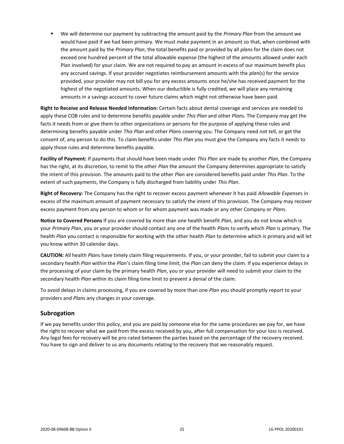▪ We will determine our payment by subtracting the amount paid by the *Primary Plan* from the amount we would have paid if we had been primary. We must make payment in an amount so that, when combined with the amount paid by the *Primary Plan*, the total benefits paid or provided by all *plan*s for the claim does not exceed one hundred percent of the total allowable expense (the highest of the amounts allowed under each Plan involved) for your claim. We are not required to pay an amount in excess of our maximum benefit plus any accrued savings. If your provider negotiates reimbursement amounts with the *plan*(s) for the service provided, your provider may not bill you for any excess amounts once he/she has received payment for the highest of the negotiated amounts. When our deductible is fully credited, we will place any remaining amounts in a savings account to cover future claims which might not otherwise have been paid.

**Right to Receive and Release Needed Information:** Certain facts about dental coverage and services are needed to apply these COB rules and to determine benefits payable under *This Plan* and other *Plan*s. The Company may get the facts it needs from or give them to other organizations or persons for the purpose of applying these rules and determining benefits payable under *This Plan* and other *Plan*s covering you. The Company need not tell, or get the consent of, any person to do this. To claim benefits under *This Plan* you must give the Company any facts it needs to apply those rules and determine benefits payable.

**Facility of Payment:** If payments that should have been made under *This Plan* are made by another *Plan*, the Company has the right, at its discretion, to remit to the other *Plan* the amount the Company determines appropriate to satisfy the intent of this provision. The amounts paid to the other *Plan* are considered benefits paid under *This Plan*. To the extent of such payments, the Company is fully discharged from liability under *This Plan*.

**Right of Recovery:** The Company has the right to recover excess payment whenever it has paid *Allowable Expense*s in excess of the maximum amount of payment necessary to satisfy the intent of this provision. The Company may recover excess payment from any person to whom or for whom payment was made or any other Company or *Plan*s.

**Notice to Covered Persons** If you are covered by more than one health benefit *Plan*, and you do not know which is your *Primary Plan*, you or your provider should contact any one of the health *Plan*s to verify which *Plan* is primary. The health *Plan* you contact is responsible for working with the other health *Plan* to determine which is primary and will let you know within 30 calendar days.

**CAUTION:** All health *Plan*s have timely claim filing requirements. If you, or your provider, fail to submit your claim to a secondary health *Plan* within the *Plan*'s claim filing time limit, the *Plan* can deny the claim. If you experience delays in the processing of your claim by the primary health *Plan*, you or your provider will need to submit your claim to the secondary health *Plan* within its claim filing time limit to prevent a denial of the claim.

To avoid delays in claims processing, if you are covered by more than one *Plan* you should promptly report to your providers and *Plan*s any changes in your coverage.

## <span id="page-27-0"></span>**Subrogation**

If we pay benefits under this policy, and you are paid by someone else for the same procedures we pay for, we have the right to recover what we paid from the excess received by you, after full compensation for your loss is received. Any legal fees for recovery will be pro-rated between the parties based on the percentage of the recovery received. You have to sign and deliver to us any documents relating to the recovery that we reasonably request.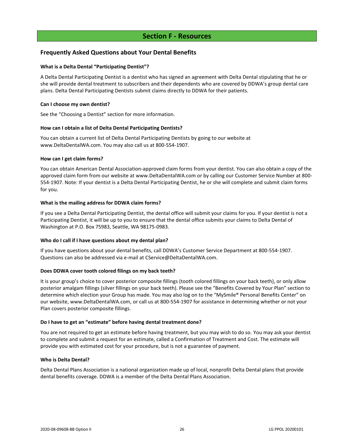## **Section F - Resources**

## <span id="page-28-1"></span><span id="page-28-0"></span>**Frequently Asked Questions about Your Dental Benefits**

## **What is a Delta Dental "Participating Dentist"?**

A Delta Dental Participating Dentist is a dentist who has signed an agreement with Delta Dental stipulating that he or she will provide dental treatment to subscribers and their dependents who are covered by DDWA's group dental care plans. Delta Dental Participating Dentists submit claims directly to DDWA for their patients.

## **Can I choose my own dentist?**

See the "Choosing a Dentist" section for more information.

## **How can I obtain a list of Delta Dental Participating Dentists?**

You can obtain a current list of Delta Dental Participating Dentists by going to our website at www.DeltaDentalWA.com. You may also call us at 800-554-1907.

## **How can I get claim forms?**

You can obtain American Dental Association-approved claim forms from your dentist. You can also obtain a copy of the approved claim form from our website at www.DeltaDentalWA.com or by calling our Customer Service Number at 800- 554-1907. Note: If your dentist is a Delta Dental Participating Dentist, he or she will complete and submit claim forms for you.

## **What is the mailing address for DDWA claim forms?**

If you see a Delta Dental Participating Dentist, the dental office will submit your claims for you. If your dentist is not a Participating Dentist, it will be up to you to ensure that the dental office submits your claims to Delta Dental of Washington at P.O. Box 75983, Seattle, WA 98175-0983.

## **Who do I call if I have questions about my dental plan?**

If you have questions about your dental benefits, call DDWA's Customer Service Department at 800-554-1907. Questions can also be addressed via e-mail at CService@DeltaDentalWA.com.

## **Does DDWA cover tooth colored filings on my back teeth?**

It is your group's choice to cover posterior composite fillings (tooth colored fillings on your back teeth), or only allow posterior amalgam fillings (silver fillings on your back teeth). Please see the "Benefits Covered by Your Plan" section to determine which election your Group has made. You may also log on to the "MySmile® Personal Benefits Center" on our website, www.DeltaDentalWA.com, or call us at 800-554-1907 for assistance in determining whether or not your Plan covers posterior composite fillings.

## **Do I have to get an "estimate" before having dental treatment done?**

You are not required to get an estimate before having treatment, but you may wish to do so. You may ask your dentist to complete and submit a request for an estimate, called a Confirmation of Treatment and Cost. The estimate will provide you with estimated cost for your procedure, but is not a guarantee of payment.

## **Who is Delta Dental?**

Delta Dental Plans Association is a national organization made up of local, nonprofit Delta Dental plans that provide dental benefits coverage. DDWA is a member of the Delta Dental Plans Association.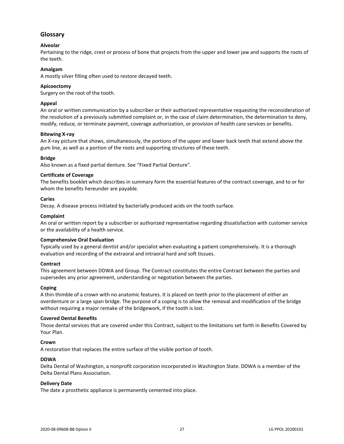## <span id="page-29-0"></span>**Glossary**

## **Alveolar**

Pertaining to the ridge, crest or process of bone that projects from the upper and lower jaw and supports the roots of the teeth.

## **Amalgam**

A mostly silver filling often used to restore decayed teeth.

## **Apicoectomy**

Surgery on the root of the tooth.

## **Appeal**

An oral or written communication by a subscriber or their authorized representative requesting the reconsideration of the resolution of a previously submitted complaint or, in the case of claim determination, the determination to deny, modify, reduce, or terminate payment, coverage authorization, or provision of health care services or benefits.

## **Bitewing X-ray**

An X-ray picture that shows, simultaneously, the portions of the upper and lower back teeth that extend above the gum line, as well as a portion of the roots and supporting structures of these teeth.

## **Bridge**

Also known as a fixed partial denture. See "Fixed Partial Denture".

## **Certificate of Coverage**

The benefits booklet which describes in summary form the essential features of the contract coverage, and to or for whom the benefits hereunder are payable.

## **Caries**

Decay. A disease process initiated by bacterially produced acids on the tooth surface.

## **Complaint**

An oral or written report by a subscriber or authorized representative regarding dissatisfaction with customer service or the availability of a health service.

## **Comprehensive Oral Evaluation**

Typically used by a general dentist and/or specialist when evaluating a patient comprehensively. It is a thorough evaluation and recording of the extraoral and intraoral hard and soft tissues.

## **Contract**

This agreement between DDWA and Group. The Contract constitutes the entire Contract between the parties and supersedes any prior agreement, understanding or negotiation between the parties.

## **Coping**

A thin thimble of a crown with no anatomic features. It is placed on teeth prior to the placement of either an overdenture or a large span bridge. The purpose of a coping is to allow the removal and modification of the bridge without requiring a major remake of the bridgework, if the tooth is lost.

## **Covered Dental Benefits**

Those dental services that are covered under this Contract, subject to the limitations set forth in Benefits Covered by Your Plan.

## **Crown**

A restoration that replaces the entire surface of the visible portion of tooth.

## **DDWA**

Delta Dental of Washington, a nonprofit corporation incorporated in Washington State. DDWA is a member of the Delta Dental Plans Association.

## **Delivery Date**

The date a prosthetic appliance is permanently cemented into place.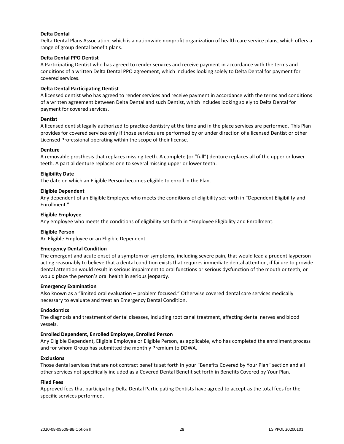## **Delta Dental**

Delta Dental Plans Association, which is a nationwide nonprofit organization of health care service plans, which offers a range of group dental benefit plans.

## **Delta Dental PPO Dentist**

A Participating Dentist who has agreed to render services and receive payment in accordance with the terms and conditions of a written Delta Dental PPO agreement, which includes looking solely to Delta Dental for payment for covered services.

## **Delta Dental Participating Dentist**

A licensed dentist who has agreed to render services and receive payment in accordance with the terms and conditions of a written agreement between Delta Dental and such Dentist, which includes looking solely to Delta Dental for payment for covered services.

## **Dentist**

A licensed dentist legally authorized to practice dentistry at the time and in the place services are performed. This Plan provides for covered services only if those services are performed by or under direction of a licensed Dentist or other Licensed Professional operating within the scope of their license.

## **Denture**

A removable prosthesis that replaces missing teeth. A complete (or "full") denture replaces all of the upper or lower teeth. A partial denture replaces one to several missing upper or lower teeth.

## **Eligibility Date**

The date on which an Eligible Person becomes eligible to enroll in the Plan.

## **Eligible Dependent**

Any dependent of an Eligible Employee who meets the conditions of eligibility set forth in "Dependent Eligibility and Enrollment."

## **Eligible Employee**

Any employee who meets the conditions of eligibility set forth in "Employee Eligibility and Enrollment.

## **Eligible Person**

An Eligible Employee or an Eligible Dependent.

## **Emergency Dental Condition**

The emergent and acute onset of a symptom or symptoms, including severe pain, that would lead a prudent layperson acting reasonably to believe that a dental condition exists that requires immediate dental attention, if failure to provide dental attention would result in serious impairment to oral functions or serious dysfunction of the mouth or teeth, or would place the person's oral health in serious jeopardy.

## **Emergency Examination**

Also known as a "limited oral evaluation – problem focused." Otherwise covered dental care services medically necessary to evaluate and treat an Emergency Dental Condition.

## **Endodontics**

The diagnosis and treatment of dental diseases, including root canal treatment, affecting dental nerves and blood vessels.

## **Enrolled Dependent, Enrolled Employee, Enrolled Person**

Any Eligible Dependent, Eligible Employee or Eligible Person, as applicable, who has completed the enrollment process and for whom Group has submitted the monthly Premium to DDWA.

## **Exclusions**

Those dental services that are not contract benefits set forth in your "Benefits Covered by Your Plan" section and all other services not specifically included as a Covered Dental Benefit set forth in Benefits Covered by Your Plan.

## **Filed Fees**

Approved fees that participating Delta Dental Participating Dentists have agreed to accept as the total fees for the specific services performed.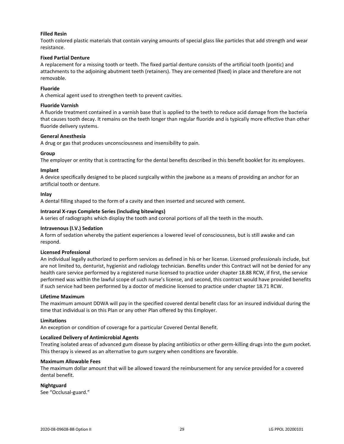## **Filled Resin**

Tooth colored plastic materials that contain varying amounts of special glass like particles that add strength and wear resistance.

## **Fixed Partial Denture**

A replacement for a missing tooth or teeth. The fixed partial denture consists of the artificial tooth (pontic) and attachments to the adjoining abutment teeth (retainers). They are cemented (fixed) in place and therefore are not removable.

## **Fluoride**

A chemical agent used to strengthen teeth to prevent cavities.

## **Fluoride Varnish**

A fluoride treatment contained in a varnish base that is applied to the teeth to reduce acid damage from the bacteria that causes tooth decay. It remains on the teeth longer than regular fluoride and is typically more effective than other fluoride delivery systems.

## **General Anesthesia**

A drug or gas that produces unconsciousness and insensibility to pain.

## **Group**

The employer or entity that is contracting for the dental benefits described in this benefit booklet for its employees.

## **Implant**

A device specifically designed to be placed surgically within the jawbone as a means of providing an anchor for an artificial tooth or denture.

## **Inlay**

A dental filling shaped to the form of a cavity and then inserted and secured with cement.

## **Intraoral X-rays Complete Series (including bitewings)**

A series of radiographs which display the tooth and coronal portions of all the teeth in the mouth.

## **Intravenous (I.V.) Sedation**

A form of sedation whereby the patient experiences a lowered level of consciousness, but is still awake and can respond.

## **Licensed Professional**

An individual legally authorized to perform services as defined in his or her license. Licensed professionals include, but are not limited to, denturist, hygienist and radiology technician. Benefits under this Contract will not be denied for any health care service performed by a registered nurse licensed to practice under chapter 18.88 RCW, if first, the service performed was within the lawful scope of such nurse's license, and second, this contract would have provided benefits if such service had been performed by a doctor of medicine licensed to practice under chapter 18.71 RCW.

## **Lifetime Maximum**

The maximum amount DDWA will pay in the specified covered dental benefit class for an insured individual during the time that individual is on this Plan or any other Plan offered by this Employer.

## **Limitations**

An exception or condition of coverage for a particular Covered Dental Benefit.

## **Localized Delivery of Antimicrobial Agents**

Treating isolated areas of advanced gum disease by placing antibiotics or other germ-killing drugs into the gum pocket. This therapy is viewed as an alternative to gum surgery when conditions are favorable.

## **Maximum Allowable Fees**

The maximum dollar amount that will be allowed toward the reimbursement for any service provided for a covered dental benefit.

## **Nightguard**

See "Occlusal-guard."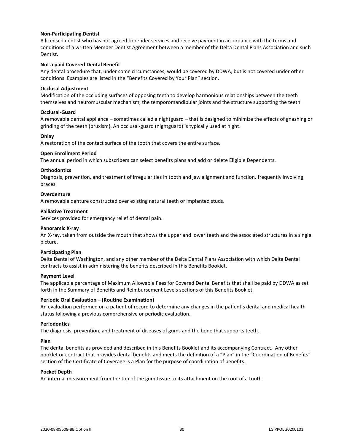## **Non-Participating Dentist**

A licensed dentist who has not agreed to render services and receive payment in accordance with the terms and conditions of a written Member Dentist Agreement between a member of the Delta Dental Plans Association and such Dentist.

## **Not a paid Covered Dental Benefit**

Any dental procedure that, under some circumstances, would be covered by DDWA, but is not covered under other conditions. Examples are listed in the "Benefits Covered by Your Plan" section.

## **Occlusal Adjustment**

Modification of the occluding surfaces of opposing teeth to develop harmonious relationships between the teeth themselves and neuromuscular mechanism, the temporomandibular joints and the structure supporting the teeth.

## **Occlusal-Guard**

A removable dental appliance – sometimes called a nightguard – that is designed to minimize the effects of gnashing or grinding of the teeth (bruxism). An occlusal-guard (nightguard) is typically used at night.

## **Onlay**

A restoration of the contact surface of the tooth that covers the entire surface.

## **Open Enrollment Period**

The annual period in which subscribers can select benefits plans and add or delete Eligible Dependents.

## **Orthodontics**

Diagnosis, prevention, and treatment of irregularities in tooth and jaw alignment and function, frequently involving braces.

## **Overdenture**

A removable denture constructed over existing natural teeth or implanted studs.

## **Palliative Treatment**

Services provided for emergency relief of dental pain.

## **Panoramic X-ray**

An X-ray, taken from outside the mouth that shows the upper and lower teeth and the associated structures in a single picture.

## **Participating Plan**

Delta Dental of Washington, and any other member of the Delta Dental Plans Association with which Delta Dental contracts to assist in administering the benefits described in this Benefits Booklet.

## **Payment Level**

The applicable percentage of Maximum Allowable Fees for Covered Dental Benefits that shall be paid by DDWA as set forth in the Summary of Benefits and Reimbursement Levels sections of this Benefits Booklet.

## **Periodic Oral Evaluation – (Routine Examination)**

An evaluation performed on a patient of record to determine any changes in the patient's dental and medical health status following a previous comprehensive or periodic evaluation.

## **Periodontics**

The diagnosis, prevention, and treatment of diseases of gums and the bone that supports teeth.

## **Plan**

The dental benefits as provided and described in this Benefits Booklet and its accompanying Contract. Any other booklet or contract that provides dental benefits and meets the definition of a "Plan" in the "Coordination of Benefits" section of the Certificate of Coverage is a Plan for the purpose of coordination of benefits.

## **Pocket Depth**

An internal measurement from the top of the gum tissue to its attachment on the root of a tooth.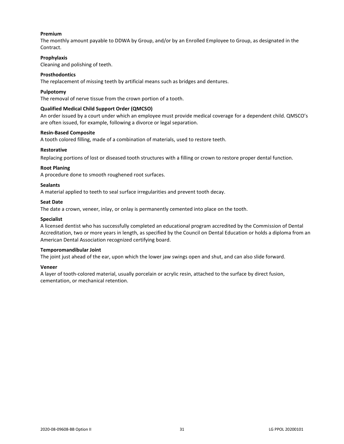## **Premium**

The monthly amount payable to DDWA by Group, and/or by an Enrolled Employee to Group, as designated in the Contract.

## **Prophylaxis**

Cleaning and polishing of teeth.

## **Prosthodontics**

The replacement of missing teeth by artificial means such as bridges and dentures.

## **Pulpotomy**

The removal of nerve tissue from the crown portion of a tooth.

## **Qualified Medical Child Support Order (QMCSO)**

An order issued by a court under which an employee must provide medical coverage for a dependent child. QMSCO's are often issued, for example, following a divorce or legal separation.

## **Resin-Based Composite**

A tooth colored filling, made of a combination of materials, used to restore teeth.

## **Restorative**

Replacing portions of lost or diseased tooth structures with a filling or crown to restore proper dental function.

## **Root Planing**

A procedure done to smooth roughened root surfaces.

## **Sealants**

A material applied to teeth to seal surface irregularities and prevent tooth decay.

## **Seat Date**

The date a crown, veneer, inlay, or onlay is permanently cemented into place on the tooth.

## **Specialist**

A licensed dentist who has successfully completed an educational program accredited by the Commission of Dental Accreditation, two or more years in length, as specified by the Council on Dental Education or holds a diploma from an American Dental Association recognized certifying board.

## **Temporomandibular Joint**

The joint just ahead of the ear, upon which the lower jaw swings open and shut, and can also slide forward.

## **Veneer**

A layer of tooth-colored material, usually porcelain or acrylic resin, attached to the surface by direct fusion, cementation, or mechanical retention.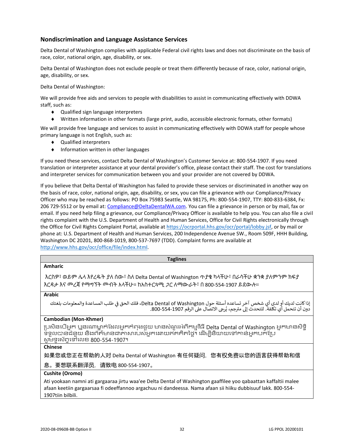## <span id="page-34-0"></span>**Nondiscrimination and Language Assistance Services**

Delta Dental of Washington complies with applicable Federal civil rights laws and does not discriminate on the basis of race, color, national origin, age, disability, or sex.

Delta Dental of Washington does not exclude people or treat them differently because of race, color, national origin, age, disability, or sex.

Delta Dental of Washington:

We will provide free aids and services to people with disabilities to assist in communicating effectively with DDWA staff, such as:

- ◆ Qualified sign language interpreters
- Written information in other formats (large print, audio, accessible electronic formats, other formats)

We will provide free language and services to assist in communicating effectively with DDWA staff for people whose primary language is not English, such as:

- Qualified interpreters
- $\bullet$  Information written in other languages

If you need these services, contact Delta Dental of Washington's Customer Service at: 800-554-1907. If you need translation or interpreter assistance at your dental provider's office, please contact their staff. The cost for translations and interpreter services for communication between you and your provider are not covered by DDWA.

If you believe that Delta Dental of Washington has failed to provide these services or discriminated in another way on the basis of race, color, national origin, age, disability, or sex, you can file a grievance with our Compliance/Privacy Officer who may be reached as follows: PO Box 75983 Seattle, WA 98175, Ph: 800-554-1907, TTY: 800-833-6384, Fx: 206 729-5512 or by email at: [Compliance@DeltaDentalWA.com.](mailto:Compliance@DeltaDentalWA.com) You can file a grievance in person or by mail, fax or email. If you need help filing a grievance, our Compliance/Privacy Officer is available to help you. You can also file a civil rights complaint with the U.S. Department of Health and Human Services, Office for Civil Rights electronically through the Office for Civil Rights Complaint Portal, available a[t https://ocrportal.hhs.gov/ocr/portal/lobby.jsf,](https://ocrportal.hhs.gov/ocr/portal/lobby.jsf) or by mail or phone at: U.S. Department of Health and Human Services, 200 Independence Avenue SW., Room 509F, HHH Building, Washington DC 20201, 800-868-1019, 800-537-7697 (TDD). Complaint forms are available at [http://www.hhs.gov/ocr/office/file/index.html.](http://www.hhs.gov/ocr/office/file/index.html)

| <b>Taglines</b>                                                                                                                                                                                                                                      |
|------------------------------------------------------------------------------------------------------------------------------------------------------------------------------------------------------------------------------------------------------|
| <b>Amharic</b>                                                                                                                                                                                                                                       |
| እርስዎ፣ ወይም ሌላ እየረዱት ያለ ሰው፣ ስለ Delta Dental of Washington ጥያቄ ካላችሁ፣ በራሳችሁ ቋንቋ ያለምንም ክፍያ<br>እርዳታ እና መረጃ የማማኘት መብት አላችሁ። ከአስተርጓሚ <i>ጋ</i> ር ለማውራት፣ በ 800-554-1907 ይደውሉ።                                                                                  |
| <b>Arabic</b>                                                                                                                                                                                                                                        |
| إذا كانت لديك أو لدى أي شخص آخر تساعده أسئلة حول Delta Dental of Washington، فلك الحق في طلب المساعدة والمعلومات بلغتك<br>دون أن تتحمل أي تكلفة. للتحدث إلى مترجم، يُرجى الاتصال على الرقم 290-554-800.                                              |
| <b>Cambodian (Mon-Khmer)</b>                                                                                                                                                                                                                         |
| ប្រសិនបើអ្នក ឬនរណាម្នាក់ដែលអ្នកកំពុងជួយ មានសំណួរអំពីកម្មវិធី Delta Dental of Washington អ្នកមានសិទ្ធិ<br>ទទួលបានជំនួយ និងព័ត៌មានជាភាសារបស់អ្នកដោយឥតគិតថ្លៃ។ ដើម្បីនិយាយទៅកាន់អ្នកបកប្រែ<br>សូមទូរស័ក្កទៅលេខ 800-554-1907។                            |
| <b>Chinese</b>                                                                                                                                                                                                                                       |
| 如果您或您正在帮助的人对 Delta Dental of Washington 有任何疑问,您有权免费以您的语言获得帮助和信                                                                                                                                                                                       |
| 息。要想联系翻译员,请致电 800-554-1907。                                                                                                                                                                                                                          |
| Cushite (Oromo)                                                                                                                                                                                                                                      |
| Ati yookaan namni ati gargaaraa jirtu waa'ee Delta Dental of Washington gaaffilee yoo qabaattan kaffaltii malee<br>afaan keetiin gargaarsaa fi odeeffannoo argachuu ni dandeessa. Nama afaan sii hiiku dubbisuuf lakk. 800-554-<br>1907tiin bilbili. |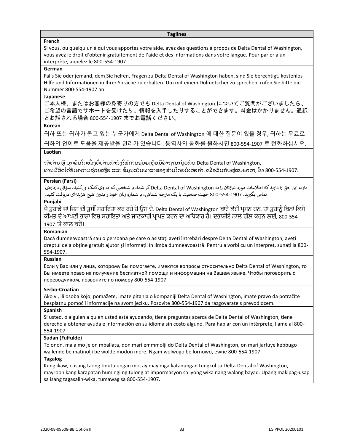#### **Taglines**

## **French**

Si vous, ou quelqu'un à qui vous apportez votre aide, avez des questions à propos de Delta Dental of Washington, vous avez le droit d'obtenir gratuitement de l'aide et des informations dans votre langue. Pour parler à un interprète, appelez le 800-554-1907.

## **German**

Falls Sie oder jemand, dem Sie helfen, Fragen zu Delta Dental of Washington haben, sind Sie berechtigt, kostenlos Hilfe und Informationen in Ihrer Sprache zu erhalten. Um mit einem Dolmetscher zu sprechen, rufen Sie bitte die Nummer 800-554-1907 an.

## **Japanese**

ご本人様、またはお客様の身寄りの方でも Delta Dental of Washington についてご質問がございましたら、 ご希望の言語でサポートを受けたり、情報を入手したりすることができます。料金はかかりません。通訳 とお話される場合 800-554-1907 までお電話ください。

## **Korean**

귀하 또는 귀하가 돕고 있는 누군가에게 Delta Dental of Washington 에 대한 질문이 있을 경우, 귀하는 무료로 귀하의 언어로 도움을 제공받을 권리가 있습니다. 통역사와 통화를 원하시면 800-554-1907 로 전화하십시오.

## **Laotian**

ຖ້າທ່ານ ຫຼື ບຸກຄົນໃດໜຶ່ງທີ່ທ່ານກໍາລັງໃຫ້ການຊ່ວຍເຫຼືອມີຄໍາຖາມກ່ຽວກັບ Delta Dental of Washington, ທ່ານມີສິດໄດ້ຮັບຄວາມຊ່ວຍເຫຼືອ ແລະ ຂໍ້ມູນເປັນພາສາຂອງທ່ານໂດຍບໍ່ເສຍຄ່າ. ເພື່ອລິມກັບຜູ້ແປພາສາ, ໂທ 800-554-1907.

## **Persian (Farsi)**

دارد، این حق را دارید که اطلاعات مورد نیازتان را به Delta Dental of Washingtonاگر شما، یا شخصی که به وی کمک می کنید، سؤالی دربارهی جم شفایه، با شماره زبان خود و بدون هیچ هزینهای دریافتکنید. تماس بگرتید. 800-554-1907 جهت صحبت با یک مت <sup>ر</sup>

## **Punjabi**

ਜੇ ਤੁਹਾਡੇ ਜਾਂ ਜਿਸ ਦੀ ਤੁਸੀਂ ਸਹਾਇਤਾ ਕਰ ਰਹੇ ਹੋ ਉਸ ਦੇ, Delta Dental of Washington ਬਾਰੇ ਕੋਈ ਪ੍ਰਸ਼ਨ ਹਨ, ਤਾਂ ਤੁਹਾਨੂੰ ਬਿਨਾਂ ਕਿਸੇ ਕੀਮਤ ਦੇ ਆਪਣੀ ਭਾਸ਼ਾ ਵਿਚ ਸਹਾਇਤਾ ਅਤੇ ਜਾਣਕਾਰੀ ਪ੍ਰਾਪਤ ਕਰਨ ਦਾ ਅਧਿਕਾਰ ਹੈ। ਦੁਭਾਸ਼ੀਏ ਨਾਲ ਗੱਲ ਕਰਨ ਲਈ, 800-554-1907 'ਤੇ ਕਾਲ ਕਰੋ।

## **Romanian**

Dacă dumneavoastră sau o persoană pe care o asistați aveți întrebări despre Delta Dental of Washington, aveți dreptul de a obține gratuit ajutor și informații în limba dumneavoastră. Pentru a vorbi cu un interpret, sunați la 800- 554-1907.

## **Russian**

Если у Вас или у лица, которому Вы помогаете, имеются вопросы относительно Delta Dental of Washington, то Вы имеете право на получение бесплатной помощи и информации на Вашем языке. Чтобы поговорить с переводчиком, позвоните по номеру 800-554-1907.

## **Serbo-Croatian**

Ako vi, ili osoba kojoj pomažete, imate pitanja o kompaniji Delta Dental of Washington, imate pravo da potražite besplatnu pomoć i informacije na svom jeziku. Pozovite 800-554-1907 da razgovarate s prevodiocem.

## **Spanish**

Si usted, o alguien a quien usted está ayudando, tiene preguntas acerca de Delta Dental of Washington, tiene derecho a obtener ayuda e información en su idioma sin costo alguno. Para hablar con un intérprete, llame al 800- 554-1907.

## **Sudan (Fulfulde)**

To onon, mala mo je on mballata, don mari emmmolji do Delta Dental of Washington, on mari jarfuye keɓɓugo wallende be matinolji be wolde moɗon mere. Ngam wolwugo be lornowo, ewne 800-554-1907.

## **Tagalog**

Kung ikaw, o isang taong tinutulungan mo, ay may mga katanungan tungkol sa Delta Dental of Washington, mayroon kang karapatan humingi ng tulong at impormasyon sa iyong wika nang walang bayad. Upang makipag-usap sa isang tagasalin-wika, tumawag sa 800-554-1907.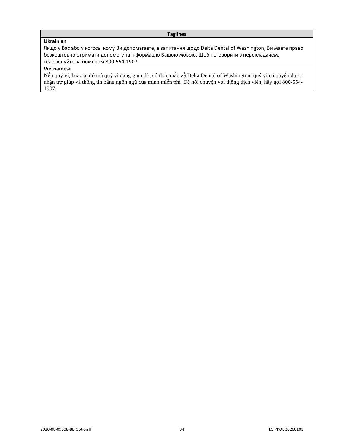## **Taglines**

## **Ukrainian**

Якщо у Вас або у когось, кому Ви допомагаєте, є запитання щодо Delta Dental of Washington, Ви маєте право безкоштовно отримати допомогу та інформацію Вашою мовою. Щоб поговорити з перекладачем, телефонуйте за номером 800-554-1907.

## **Vietnamese**

Nếu quý vị, hoặc ai đó mà quý vị đang giúp đỡ, có thắc mắc về Delta Dental of Washington, quý vị có quyền được nhận trợ giúp và thông tin bằng ngôn ngữ của mình miễn phí. Để nói chuyện với thông dịch viên, hãy gọi 800-554- 1907.